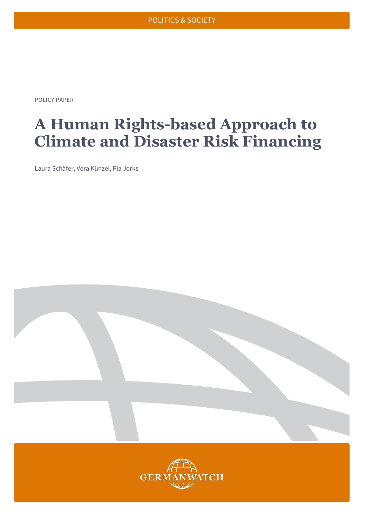POLICY PAPER

# **A Human Rights-based Approach to Climate and Disaster Risk Financing**

Laura Schäfer, Vera Künzel, Pia Jorks

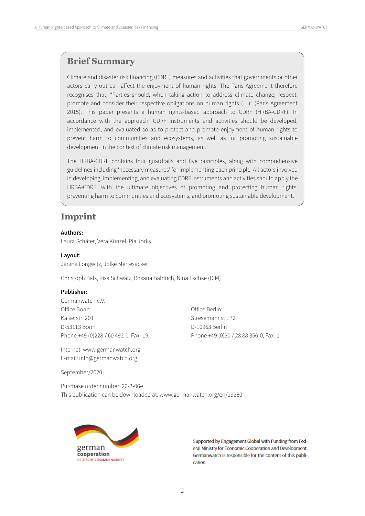### **Brief Summary**

Climate and disaster risk financing (CDRF) measures and activities that governments or other actors carry out can affect the enjoyment of human rights. The Paris Agreement therefore recognises that, "Parties should, when taking action to address climate change, respect, promote and consider their respective obligations on human rights (…)" (Paris Agreement 2015). This paper presents a human rights-based approach to CDRF (HRBA-CDRF). In accordance with the approach, CDRF instruments and activities should be developed, implemented, and evaluated so as to protect and promote enjoyment of human rights to prevent harm to communities and ecosystems, as well as for promoting sustainable development in the context of climate risk management.

The HRBA-CDRF contains four guardrails and five principles, along with comprehensive guidelines including 'necessary measures' for implementing each principle. All actors involved in developing, implementing, and evaluating CDRF instruments and activities should apply the HRBA-CDRF, with the ultimate objectives of promoting and protecting human rights, preventing harm to communities and ecosystems, and promoting sustainable development.

## **Imprint**

#### **Authors:**

Laura Schäfer, Vera Künzel, Pia Jorks

#### **Layout:**

Janina Longwitz, Jolke Mertesacker

Christoph Bals, Rixa Schwarz, Roxana Baldrich, Nina Eschke (DIM)

#### **Publisher:**

Germanwatch e.V. Office Bonn: Office Berlin: Kaiserstr. 201 Stresemannstr. 72 D-53113 Bonn D-10963 Berlin

Internet: www.germanwatch.org E-mail: info@germanwatch.org

Phone +49 (0)228 / 60 492-0, Fax -19 Phone +49 (0)30 / 28 88 356-0, Fax -1

September/2020

Purchase order number: 20-2-06e This publication can be downloaded at: [www.germanwatch.org/en/19280](http://www.germanwatch.org/en/19280)



Supported by Engagement Global with Funding from Federal Ministry for Economic Cooperation and Development. Germanwatch is responsible for the content of this publication.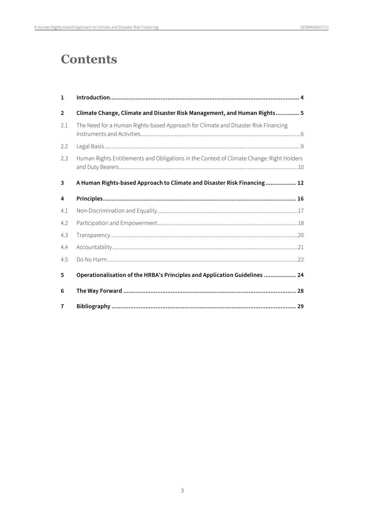# **Contents**

| 1              |                                                                                           |  |
|----------------|-------------------------------------------------------------------------------------------|--|
| $\overline{2}$ | Climate Change, Climate and Disaster Risk Management, and Human Rights 5                  |  |
| 2.1            | The Need for a Human Rights-based Approach for Climate and Disaster Risk Financing        |  |
| 2.2            |                                                                                           |  |
| 2.3            | Human Rights Entitlements and Obligations in the Context of Climate Change: Right Holders |  |
| 3              | A Human Rights-based Approach to Climate and Disaster Risk Financing 12                   |  |
| 4              |                                                                                           |  |
| 4.1            |                                                                                           |  |
| 4.2            |                                                                                           |  |
| 4.3            |                                                                                           |  |
| 4.4            |                                                                                           |  |
| 4.5            |                                                                                           |  |
| 5              | Operationalisation of the HRBA's Principles and Application Guidelines  24                |  |
| 6              |                                                                                           |  |
| $\overline{7}$ |                                                                                           |  |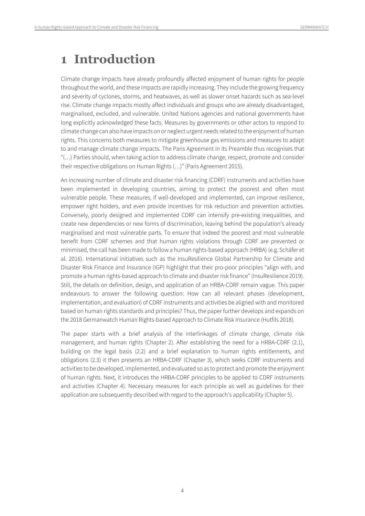# <span id="page-3-0"></span>**1 Introduction**

Climate change impacts have already profoundly affected enjoyment of human rights for people throughout the world, and these impacts are rapidly increasing. They include the growing frequency and severity of cyclones, storms, and heatwaves, as well as slower onset hazards such as sea-level rise. Climate change impacts mostly affect individuals and groups who are already disadvantaged, marginalised, excluded, and vulnerable. United Nations agencies and national governments have long explicitly acknowledged these facts. Measures by governments or other actors to respond to climate change can also have impacts on or neglect urgent needs related to the enjoyment of human rights. This concerns both measures to mitigate greenhouse gas emissions and measures to adapt to and manage climate change impacts. The Paris Agreement in its Preamble thus recognises that "(…) Parties should, when taking action to address climate change, respect, promote and consider their respective obligations on Human Rights (…)" (Paris Agreement 2015).

An increasing number of climate and disaster risk financing (CDRF) instruments and activities have been implemented in developing countries, aiming to protect the poorest and often most vulnerable people. These measures, if well-developed and implemented, can improve resilience, empower right holders, and even provide incentives for risk reduction and prevention activities. Conversely, poorly designed and implemented CDRF can intensify pre-existing inequalities, and create new dependencies or new forms of discrimination, leaving behind the population's already marginalised and most vulnerable parts. To ensure that indeed the poorest and most vulnerable benefit from CDRF schemes and that human rights violations through CDRF are prevented or minimised, the call has been made to follow a human rights-based approach (HRBA) (e.g. Schäfer et al. 2016). International initiatives such as the InsuResilience Global Partnership for Climate and Disaster Risk Finance and Insurance (IGP) highlight that their pro-poor principles "align with, and promote a human rights-based approach to climate and disaster risk finance" (InsuResilience 2019). Still, the details on definition, design, and application of an HRBA-CDRF remain vague. This paper endeavours to answer the following question: How can all relevant phases (development, implementation, and evaluation) of CDRF instruments and activities be aligned with and monitored based on human rights standards and principles? Thus, the paper further develops and expands on the 2018 Germanwatch Human Rights-based Approach to Climate Risk Insurance (Hutfils 2018).

The paper starts with a brief analysis of the interlinkages of climate change, climate risk management, and human rights (Chapter 2). After establishing the need for a HRBA-CDRF (2.1), building on the legal basis (2.2) and a brief explanation to human rights entitlements, and obligations (2.3) it then presents an HRBA-CDRF (Chapter 3), which seeks CDRF instruments and activities to be developed, implemented, and evaluated so as to protect and promote the enjoyment of human rights. Next, it introduces the HRBA-CDRF principles to be applied to CDRF instruments and activities (Chapter 4). Necessary measures for each principle as well as guidelines for their application are subsequently described with regard to the approach's applicability (Chapter 5).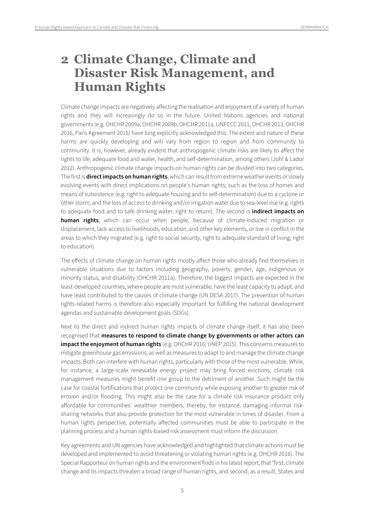# <span id="page-4-0"></span>**2 Climate Change, Climate and Disaster Risk Management, and Human Rights**

Climate change impacts are negatively affecting the realisation and enjoyment of a variety of human rights and they will increasingly do so in the future. United Nations agencies and national governments (e.g. OHCHR 2009a, OHCHR 2009b, OHCHR 2011a, UNFCCC 2011, OHCHR 2013, OHCHR 2016, Paris Agreement 2015) have long explicitly acknowledged this. The extent and nature of these harms are quickly developing and will vary from region to region and from community to community. It is, however, already evident that anthropogenic climate risks are likely to affect the rights to life, adequate food and water, health, and self-determination, among others (Johl & Lador 2012). Anthropogenic climate change impacts on human rights can be divided into two categories. The first is **direct impacts on human rights**, which can result from extreme weather events or slowly evolving events with direct implications on people's human rights; such as the loss of homes and means of subsistence (e.g. right to adequate housing and to self-determination) due to a cyclone or other storm, and the loss of access to drinking and/or irrigation water due to sea-level rise (e.g. rights to adequate food and to safe drinking water, right to return). The second is **indirect impacts on human rights**, which can occur when people, because of climate-induced migration or displacement, lack access to livelihoods, education, and other key elements, or live in conflict in the areas to which they migrated (e.g. right to social security, right to adequate standard of living, right to education).

The effects of climate change on human rights mostly affect those who already find themselves in vulnerable situations due to factors including geography, poverty, gender, age, indigenous or minority status, and disability (OHCHR 2011a). Therefore, the biggest impacts are expected in the least-developed countries, where people are most vulnerable, have the least capacity to adapt, and have least contributed to the causes of climate change (UN DESA 2017). The prevention of human rights-related harms is therefore also especially important for fulfilling the national development agendas and sustainable development goals (SDGs).

Next to the direct and indirect human rights impacts of climate change itself, it has also been recognised that **measures to respond to climate change by governments or other actors can impact the enjoyment of human rights** (e.g. OHCHR 2016; UNEP 2015). This concerns measures to mitigate greenhouse gas emissions, as well as measures to adapt to and manage the climate change impacts. Both can interfere with human rights, particularly with those of the most vulnerable. While, for instance, a large-scale renewable energy project may bring forced evictions, climate risk management measures might benefit one group to the detriment of another. Such might be the case for coastal fortifications that protect one community while exposing another to greater risk of erosion and/or flooding. This might also be the case for a climate risk insurance product only affordable for communities' wealthier members, thereby, for instance, damaging informal risksharing networks that also provide protection for the most vulnerable in times of disaster. From a human rights perspective, potentially affected communities must be able to participate in the planning process and a human rights-based risk assessment must inform the discussion.

Key agreements and UN agencies have acknowledged and highlighted that climate actions must be developed and implemented to avoid threatening or violating human rights (e.g. OHCHR 2016). The Special Rapporteur on human rights and the environment finds in his latest report, that "first, climate change and its impacts threaten a broad range of human rights, and second, as a result, States and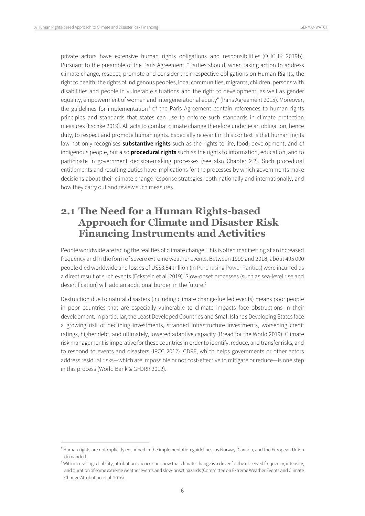private actors have extensive human rights obligations and responsibilities"(OHCHR 2019b). Pursuant to the preamble of the Paris Agreement, "Parties should, when taking action to address climate change, respect, promote and consider their respective obligations on Human Rights, the right to health, the rights of indigenous peoples, local communities, migrants, children, persons with disabilities and people in vulnerable situations and the right to development, as well as gender equality, empowerment of women and intergenerational equity" (Paris Agreement 2015). Moreover, the guidelines for implementation<sup>[1](#page-5-1)</sup> of the Paris Agreement contain references to human rights principles and standards that states can use to enforce such standards in climate protection measures (Eschke 2019). All acts to combat climate change therefore underlie an obligation, hence duty, to respect and promote human rights. Especially relevant in this context is that human rights law not only recognises **substantive rights** such as the rights to life, food, development, and of indigenous people, but also **procedural rights** such as the rights to information, education, and to participate in government decision-making processes (see also Chapter 2.2). Such procedural entitlements and resulting duties have implications for the processes by which governments make decisions about their climate change response strategies, both nationally and internationally, and how they carry out and review such measures.

# <span id="page-5-0"></span>**2.1 The Need for a Human Rights-based Approach for Climate and Disaster Risk Financing Instruments and Activities**

People worldwide are facing the realities of climate change. This is often manifesting at an increased frequency and in the form of severe extreme weather events. Between 1999 and 2018, about 495 000 people died worldwide and losses of US\$3.54 trillion (in Purchasing Power Parities) were incurred as a direct result of such events (Eckstein et al. 2019). Slow-onset processes (such as sea-level rise and desertification) will add an additional burden in the future.<sup>[2](#page-5-2)</sup>

Destruction due to natural disasters (including climate change-fuelled events) means poor people in poor countries that are especially vulnerable to climate impacts face obstructions in their development. In particular, the Least Developed Countries and Small Islands Developing States face a growing risk of declining investments, stranded infrastructure investments, worsening credit ratings, higher debt, and ultimately, lowered adaptive capacity (Bread for the World 2019). Climate risk management is imperative for these countries in order to identify, reduce, and transfer risks, and to respond to events and disasters (IPCC 2012). CDRF, which helps governments or other actors address residual risks—which are impossible or not cost-effective to mitigate or reduce—is one step in this process (World Bank & GFDRR 2012).

<span id="page-5-1"></span><sup>&</sup>lt;sup>1</sup> Human rights are not explicitly enshrined in the implementation guidelines, as Norway, Canada, and the European Union demanded.

<span id="page-5-2"></span><sup>&</sup>lt;sup>2</sup> With increasing reliability, attribution science can show that climate change is a driver for the observed frequency, intensity, and duration of some extreme weather events and slow-onset hazards (Committee on Extreme Weather Events and Climate Change Attribution et al. 2016).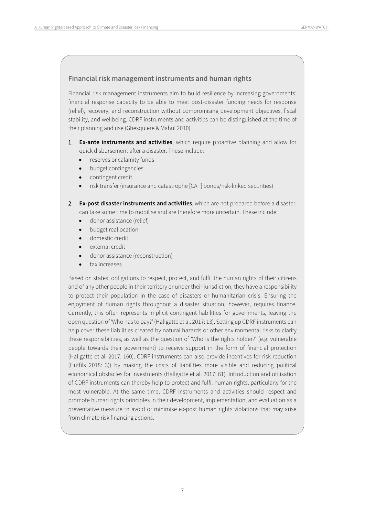#### **Financial risk management instruments and human rights**

Financial risk management instruments aim to build resilience by increasing governments' financial response capacity to be able to meet post-disaster funding needs for response (relief), recovery, and reconstruction without compromising development objectives, fiscal stability, and wellbeing. CDRF instruments and activities can be distinguished at the time of their planning and use (Ghesquiere & Mahul 2010).

- 1. **Ex-ante instruments and activities**, which require proactive planning and allow for quick disbursement after a disaster. These include:
	- reserves or calamity funds
	- budget contingencies
	- contingent credit
	- risk transfer (insurance and catastrophe [CAT] bonds/risk-linked securities)
- 2. **Ex-post disaster instruments and activities**, which are not prepared before a disaster, can take some time to mobilise and are therefore more uncertain. These include:
	- donor assistance (relief)
	- budget reallocation
	- domestic credit
	- external credit
	- donor assistance (reconstruction)
	- tax increases

Based on states' obligations to respect, protect, and fulfil the human rights of their citizens and of any other people in their territory or under their jurisdiction, they have a responsibility to protect their population in the case of disasters or humanitarian crisis. Ensuring the enjoyment of human rights throughout a disaster situation, however, requires finance. Currently, this often represents implicit contingent liabilities for governments, leaving the open question of 'Who has to pay?' (Hallgatte et al. 2017: 13). Setting up CDRF instruments can help cover these liabilities created by natural hazards or other environmental risks to clarify these responsibilities, as well as the question of 'Who is the rights holder?' (e.g. vulnerable people towards their government) to receive support in the form of financial protection (Hallgatte et al. 2017: 160). CDRF instruments can also provide incentives for risk reduction (Hutfils 2018: 3)) by making the costs of liabilities more visible and reducing political economical obstacles for investments (Hallgatte et al. 2017: 61). Introduction and utilisation of CDRF instruments can thereby help to protect and fulfil human rights, particularly for the most vulnerable. At the same time, CDRF instruments and activities should respect and promote human rights principles in their development, implementation, and evaluation as a preventative measure to avoid or minimise ex-post human rights violations that may arise from climate risk financing actions.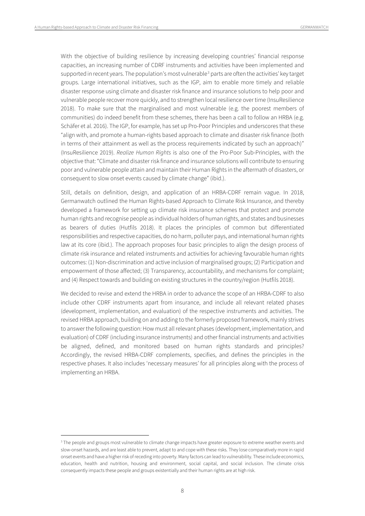With the objective of building resilience by increasing developing countries' financial response capacities, an increasing number of CDRF instruments and activities have been implemented and supported in recent years. The population's most vulnerable $3$  parts are often the activities' key target groups. Large international initiatives, such as the IGP, aim to enable more timely and reliable disaster response using climate and disaster risk finance and insurance solutions to help poor and vulnerable people recover more quickly, and to strengthen local resilience over time (InsuResilience 2018). To make sure that the marginalised and most vulnerable (e.g. the poorest members of communities) do indeed benefit from these schemes, there has been a call to follow an HRBA (e.g. Schäfer et al. 2016). The IGP, for example, has set up Pro-Poor Principles and underscores that these "align with, and promote a human-rights based approach to climate and disaster risk finance (both in terms of their attainment as well as the process requirements indicated by such an approach)" (InsuResilience 2019). *Realize Human Rights* is also one of the Pro-Poor Sub-Principles, with the objective that: "Climate and disaster risk finance and insurance solutions will contribute to ensuring poor and vulnerable people attain and maintain their Human Rights in the aftermath of disasters, or consequent to slow onset events caused by climate change" (ibid.).

Still, details on definition, design, and application of an HRBA-CDRF remain vague. In 2018, Germanwatch outlined the Human Rights-based Approach to Climate Risk Insurance, and thereby developed a framework for setting up climate risk insurance schemes that protect and promote human rights and recognise people as individual holders of human rights, and states and businesses as bearers of duties (Hutfils 2018). It places the principles of common but differentiated responsibilities and respective capacities, do no harm, polluter pays, and international human rights law at its core (ibid.). The approach proposes four basic principles to align the design process of climate risk insurance and related instruments and activities for achieving favourable human rights outcomes: (1) Non-discrimination and active inclusion of marginalised groups; (2) Participation and empowerment of those affected; (3) Transparency, accountability, and mechanisms for complaint; and (4) Respect towards and building on existing structures in the country/region (Hutfils 2018).

We decided to revise and extend the HRBA in order to advance the scope of an HRBA-CDRF to also include other CDRF instruments apart from insurance, and include all relevant related phases (development, implementation, and evaluation) of the respective instruments and activities. The revised HRBA approach, building on and adding to the formerly proposed framework, mainly strives to answer the following question: How must all relevant phases (development, implementation, and evaluation) of CDRF (including insurance instruments) and other financial instruments and activities be aligned, defined, and monitored based on human rights standards and principles? Accordingly, the revised HRBA-CDRF complements, specifies, and defines the principles in the respective phases. It also includes 'necessary measures' for all principles along with the process of implementing an HRBA.

<span id="page-7-0"></span><sup>&</sup>lt;sup>3</sup> The people and groups most vulnerable to climate change impacts have greater exposure to extreme weather events and slow-onset hazards, and are least able to prevent, adapt to and cope with these risks. They lose comparatively more in rapid onset events and have a higher risk of receding into poverty. Many factors can lead to vulnerability. These include economics, education, health and nutrition, housing and environment, social capital, and social inclusion. The climate crisis consequently impacts these people and groups existentially and their human rights are at high risk.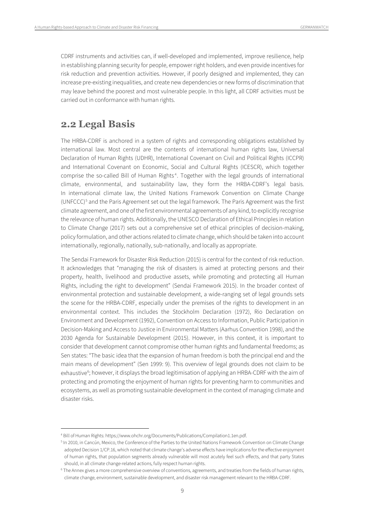CDRF instruments and activities can, if well-developed and implemented, improve resilience, help in establishing planning security for people, empower right holders, and even provide incentives for risk reduction and prevention activities. However, if poorly designed and implemented, they can increase pre-existing inequalities, and create new dependencies or new forms of discrimination that may leave behind the poorest and most vulnerable people. In this light, all CDRF activities must be carried out in conformance with human rights.

## <span id="page-8-0"></span>**2.2 Legal Basis**

The HRBA-CDRF is anchored in a system of rights and corresponding obligations established by international law. Most central are the contents of international human rights law, Universal Declaration of Human Rights (UDHR), International Covenant on Civil and Political Rights (ICCPR) and International Covenant on Economic, Social and Cultural Rights (ICESCR), which together comprise the so-called Bill of Human Rights<sup>[4](#page-8-1)</sup>. Together with the legal grounds of international climate, environmental, and sustainability law, they form the HRBA-CDRF's legal basis. In international climate law, the United Nations Framework Convention on Climate Change (UNFCCC)<sup>[5](#page-8-2)</sup> and the Paris Agreement set out the legal framework. The Paris Agreement was the first climate agreement, and one of the first environmental agreements of any kind, to explicitly recognise the relevance of human rights. Additionally, the UNESCO Declaration of Ethical Principles in relation to Climate Change (2017) sets out a comprehensive set of ethical principles of decision-making, policy formulation, and other actions related to climate change, which should be taken into account internationally, regionally, nationally, sub-nationally, and locally as appropriate.

The Sendai Framework for Disaster Risk Reduction (2015) is central for the context of risk reduction. It acknowledges that "managing the risk of disasters is aimed at protecting persons and their property, health, livelihood and productive assets, while promoting and protecting all Human Rights, including the right to development" (Sendai Framework 2015). In the broader context of environmental protection and sustainable development, a wide-ranging set of legal grounds sets the scene for the HRBA-CDRF, especially under the premises of the rights to development in an environmental context. This includes the Stockholm Declaration (1972), Rio Declaration on Environment and Development (1992), Convention on Access to Information, Public Participation in Decision-Making and Access to Justice in Environmental Matters (Aarhus Convention 1998), and the 2030 Agenda for Sustainable Development (2015). However, in this context, it is important to consider that development cannot compromise other human rights and fundamental freedoms; as Sen states: "The basic idea that the expansion of human freedom is both the principal end and the main means of development" (Sen 1999: 9). This overview of legal grounds does not claim to be exhaustive<sup>[6](#page-8-3)</sup>; however, it displays the broad legitimisation of applying an HRBA-CDRF with the aim of protecting and promoting the enjoyment of human rights for preventing harm to communities and ecosystems, as well as promoting sustainable development in the context of managing climate and disaster risks.

<span id="page-8-1"></span> <sup>4</sup> Bill of Human Rights: https://www.ohchr.org/Documents/Publications/Compilation1.1en.pdf.

<span id="page-8-2"></span><sup>&</sup>lt;sup>5</sup> In 2010, in Cancún, Mexico, the Conference of the Parties to the United Nations Framework Convention on Climate Change adopted Decision 1/CP.16, which noted that climate change's adverse effects have implications for the effective enjoyment of human rights, that population segments already vulnerable will most acutely feel such effects, and that party States should, in all climate change-related actions, fully respect human rights.

<span id="page-8-3"></span><sup>&</sup>lt;sup>6</sup> The Annex gives a more comprehensive overview of conventions, agreements, and treaties from the fields of human rights, climate change, environment, sustainable development, and disaster risk management relevant to the HRBA-CDRF.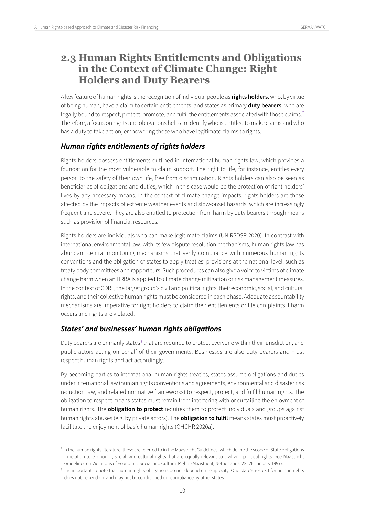# <span id="page-9-0"></span>**2.3 Human Rights Entitlements and Obligations in the Context of Climate Change: Right Holders and Duty Bearers**

A key feature of human rights is the recognition of individual people as **rights holders**, who, by virtue of being human, have a claim to certain entitlements, and states as primary **duty bearers**, who are legally bound to respect, protect, promote, and fulfil the entitlements associated with those claims.<sup>[7](#page-9-1)</sup> Therefore, a focus on rights and obligations helps to identify who is entitled to make claims and who has a duty to take action, empowering those who have legitimate claims to rights.

#### *Human rights entitlements of rights holders*

Rights holders possess entitlements outlined in international human rights law, which provides a foundation for the most vulnerable to claim support. The right to life, for instance, entitles every person to the safety of their own life, free from discrimination. Rights holders can also be seen as beneficiaries of obligations and duties, which in this case would be the protection of right holders' lives by any necessary means. In the context of climate change impacts, rights holders are those affected by the impacts of extreme weather events and slow-onset hazards, which are increasingly frequent and severe. They are also entitled to protection from harm by duty bearers through means such as provision of financial resources.

Rights holders are individuals who can make legitimate claims (UNIRSDSP 2020). In contrast with international environmental law, with its few dispute resolution mechanisms, human rights law has abundant central monitoring mechanisms that verify compliance with numerous human rights conventions and the obligation of states to apply treaties' provisions at the national level; such as treaty body committees and rapporteurs. Such procedures can also give a voice to victims of climate change harm when an HRBA is applied to climate change mitigation or risk management measures. In the context of CDRF, the target group's civil and political rights, their economic, social, and cultural rights, and their collective human rights must be considered in each phase. Adequate accountability mechanisms are imperative for right holders to claim their entitlements or file complaints if harm occurs and rights are violated.

#### *States' and businesses' human rights obligations*

Duty bearers are primarily states<sup>[8](#page-9-2)</sup> that are required to protect everyone within their jurisdiction, and public actors acting on behalf of their governments. Businesses are also duty bearers and must respect human rights and act accordingly.

By becoming parties to international human rights treaties, states assume obligations and duties under international law (human rights conventions and agreements, environmental and disaster risk reduction law, and related normative frameworks) to respect, protect, and fulfil human rights. The obligation to respect means states must refrain from interfering with or curtailing the enjoyment of human rights. The **obligation to protect** requires them to protect individuals and groups against human rights abuses (e.g. by private actors). The **obligation to fulfil** means states must proactively facilitate the enjoyment of basic human rights (OHCHR 2020a).

<span id="page-9-1"></span><sup>&</sup>lt;sup>7</sup> In the human rights literature, these are referred to in the Maastricht Guidelines, which define the scope of State obligations in relation to economic, social, and cultural rights, but are equally relevant to civil and political rights. See Maastricht Guidelines on Violations of Economic, Social and Cultural Rights (Maastricht, Netherlands, 22–26 January 1997).

<span id="page-9-2"></span><sup>&</sup>lt;sup>8</sup> It is important to note that human rights obligations do not depend on reciprocity. One state's respect for human rights does not depend on, and may not be conditioned on, compliance by other states.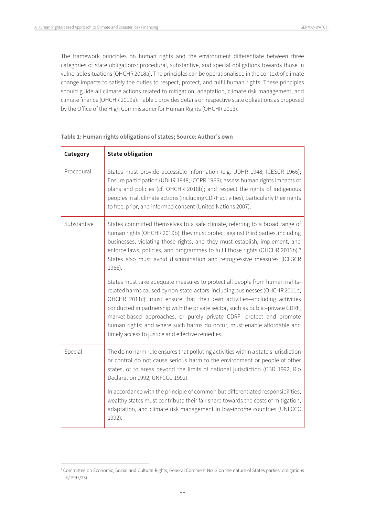The framework principles on human rights and the environment differentiate between three categories of state obligations: procedural, substantive, and special obligations towards those in vulnerable situations (OHCHR 2018a). The principles can be operationalised in the context of climate change impacts to satisfy the duties to respect, protect, and fulfil human rights. These principles should guide all climate actions related to mitigation, adaptation, climate risk management, and climate finance (OHCHR 2019a). Table 1 provides details on respective state obligations as proposed by the Office of the High Commissioner for Human Rights (OHCHR 2013).

| Category    | <b>State obligation</b>                                                                                                                                                                                                                                                                                                                                                                                                                                                                                                         |
|-------------|---------------------------------------------------------------------------------------------------------------------------------------------------------------------------------------------------------------------------------------------------------------------------------------------------------------------------------------------------------------------------------------------------------------------------------------------------------------------------------------------------------------------------------|
| Procedural  | States must provide accessible information (e.g. UDHR 1948; ICESCR 1966);<br>Ensure participation (UDHR 1948; ICCPR 1966); assess human rights impacts of<br>plans and policies (cf. OHCHR 2018b); and respect the rights of indigenous<br>peoples in all climate actions (including CDRF activities), particularly their rights<br>to free, prior, and informed consent (United Nations 2007).                                                                                                                                 |
| Substantive | States committed themselves to a safe climate, referring to a broad range of<br>human rights (OHCHR 2019b); they must protect against third parties, including<br>businesses, violating those rights; and they must establish, implement, and<br>enforce laws, policies, and programmes to fulfil those rights (OHCHR 2011b). <sup>9</sup><br>States also must avoid discrimination and retrogressive measures (ICESCR<br>1966).                                                                                                |
|             | States must take adequate measures to protect all people from human rights-<br>related harms caused by non-state-actors, including businesses (OHCHR 2011b;<br>OHCHR 2011c); must ensure that their own activities-including activities<br>conducted in partnership with the private sector, such as public-private CDRF,<br>market-based approaches, or purely private CDRF-protect and promote<br>human rights; and where such harms do occur, must enable affordable and<br>timely access to justice and effective remedies. |
| Special     | The do no harm rule ensures that polluting activities within a state's jurisdiction<br>or control do not cause serious harm to the environment or people of other<br>states, or to areas beyond the limits of national jurisdiction (CBD 1992; Rio<br>Declaration 1992; UNFCCC 1992).                                                                                                                                                                                                                                           |
|             | In accordance with the principle of common but differentiated responsibilities,<br>wealthy states must contribute their fair share towards the costs of mitigation,<br>adaptation, and climate risk management in low-income countries (UNFCCC<br>1992).                                                                                                                                                                                                                                                                        |

#### **Table 1: Human rights obligations of states; Source: Author's own**

<span id="page-10-0"></span><sup>&</sup>lt;sup>9</sup> Committee on Economic, Social and Cultural Rights, General Comment No. 3 on the nature of States parties' obligations (E/1991/23).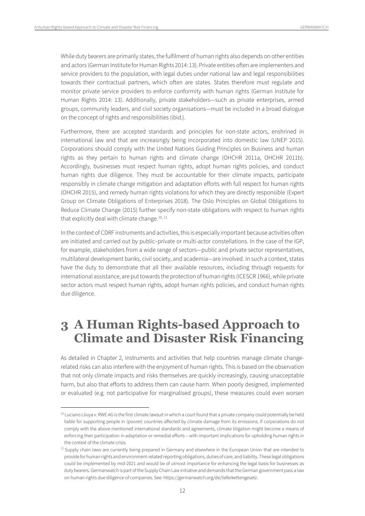While duty bearers are primarily states, the fulfilment of human rights also depends on other entities and actors (German Institute for Human Rights 2014: 13). Private entities often are implementers and service providers to the population, with legal duties under national law and legal responsibilities towards their contractual partners, which often are states. States therefore must regulate and monitor private service providers to enforce conformity with human rights (German Institute for Human Rights 2014: 13). Additionally, private stakeholders—such as private enterprises, armed groups, community leaders, and civil society organisations—must be included in a broad dialogue on the concept of rights and responsibilities (ibid.).

Furthermore, there are accepted standards and principles for non-state actors, enshrined in international law and that are increasingly being incorporated into domestic law (UNEP 2015). Corporations should comply with the United Nations Guiding Principles on Business and human rights as they pertain to human rights and climate change (OHCHR 2011a, OHCHR 2011b). Accordingly, businesses must respect human rights, adopt human rights policies, and conduct human rights due diligence. They must be accountable for their climate impacts, participate responsibly in climate change mitigation and adaptation efforts with full respect for human rights (OHCHR 2015), and remedy human rights violations for which they are directly responsible (Expert Group on Climate Obligations of Enterprises 2018). The Oslo Principles on Global Obligations to Reduce Climate Change (2015) further specify non-state obligations with respect to human rights that explicitly deal with climate change. $10, 11$  $10, 11$  $10, 11$ 

In the context of CDRF instruments and activities, this is especially important because activities often are initiated and carried out by public–private or multi-actor constellations. In the case of the IGP, for example, stakeholders from a wide range of sectors—public and private sector representatives, multilateral development banks, civil society, and academia—are involved. In such a context, states have the duty to demonstrate that all their available resources, including through requests for international assistance, are put towards the protection of human rights (ICESCR 1966), while private sector actors must respect human rights, adopt human rights policies, and conduct human rights due diligence.

# <span id="page-11-0"></span>**3 A Human Rights-based Approach to Climate and Disaster Risk Financing**

As detailed in Chapter 2, instruments and activities that help countries manage climate changerelated risks can also interfere with the enjoyment of human rights. This is based on the observation that not only climate impacts and risks themselves are quickly increasingly, causing unacceptable harm, but also that efforts to address them can cause harm. When poorly designed, implemented or evaluated (e.g. not participative for marginalised groups), these measures could even worsen

<span id="page-11-1"></span><sup>&</sup>lt;sup>10</sup> Luciano Lliuva v. RWE AG is the first climate lawsuit in which a court found that a private company could potentially be held liable for supporting people in (poorer) countries affected by climate damage from its emissions. If corporations do not comply with the above-mentioned international standards and agreements, climate litigation might become a means of enforcing their participation in adaptation or remedial efforts – with important implications for upholding human rights in the context of the climate crisis.

<span id="page-11-2"></span><sup>&</sup>lt;sup>11</sup> Supply chain laws are currently being prepared in Germany and elsewhere in the European Union that are intended to provide for human rights and environment-related reporting obligations, duties of care, and liability. These legal obligations could be implemented by mid-2021 and would be of utmost importance for enhancing the legal basis for businesses as duty bearers. Germanwatch is part of the Supply Chain Law initiative and demands that the German government pass a law on human rights due diligence of companies. See: https://germanwatch.org/de/lieferkettengesetz.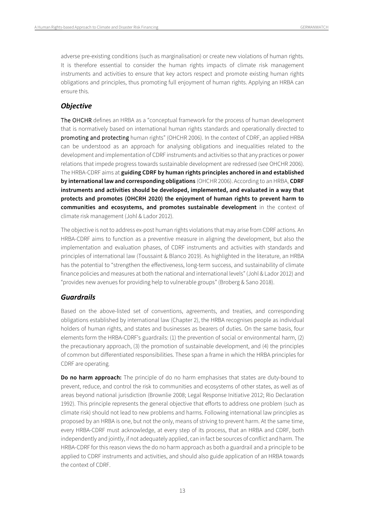adverse pre-existing conditions (such as marginalisation) or create new violations of human rights. It is therefore essential to consider the human rights impacts of climate risk management instruments and activities to ensure that key actors respect and promote existing human rights obligations and principles, thus promoting full enjoyment of human rights. Applying an HRBA can ensure this.

#### *Objective*

The OHCHR defines an HRBA as a "conceptual framework for the process of human development that is normatively based on international human rights standards and operationally directed to promoting and protecting human rights" (OHCHR 2006). In the context of CDRF, an applied HRBA can be understood as an approach for analysing obligations and inequalities related to the development and implementation of CDRF instruments and activities so that any practices or power relations that impede progress towards sustainable development are redressed (see OHCHR 2006). The HRBA-CDRF aims at **guiding CDRF by human rights principles anchored in and established by international law and corresponding obligations** (OHCHR 2006). According to an HRBA, **CDRF instruments and activities should be developed, implemented, and evaluated in a way that protects and promotes (OHCRH 2020) the enjoyment of human rights to prevent harm to communities and ecosystems, and promotes sustainable development** in the context of climate risk management (Johl & Lador 2012).

The objective is not to address ex-post human rights violations that may arise from CDRF actions. An HRBA-CDRF aims to function as a preventive measure in aligning the development, but also the implementation and evaluation phases, of CDRF instruments and activities with standards and principles of international law (Toussaint & Blanco 2019). As highlighted in the literature, an HRBA has the potential to "strengthen the effectiveness, long-term success, and sustainability of climate finance policies and measures at both the national and international levels" (Johl & Lador 2012) and "provides new avenues for providing help to vulnerable groups" (Broberg & Sano 2018).

#### *Guardrails*

Based on the above-listed set of conventions, agreements, and treaties, and corresponding obligations established by international law (Chapter 2), the HRBA recognises people as individual holders of human rights, and states and businesses as bearers of duties. On the same basis, four elements form the HRBA-CDRF's guardrails: (1) the prevention of social or environmental harm, (2) the precautionary approach, (3) the promotion of sustainable development, and (4) the principles of common but differentiated responsibilities. These span a frame in which the HRBA principles for CDRF are operating.

**Do no harm approach:** The principle of do no harm emphasises that states are duty-bound to prevent, reduce, and control the risk to communities and ecosystems of other states, as well as of areas beyond national jurisdiction (Brownlie 2008; Legal Response Initiative 2012; Rio Declaration 1992). This principle represents the general objective that efforts to address one problem (such as climate risk) should not lead to new problems and harms. Following international law principles as proposed by an HRBA is one, but not the only, means of striving to prevent harm. At the same time, every HRBA-CDRF must acknowledge, at every step of its process, that an HRBA and CDRF, both independently and jointly, if not adequately applied, can in fact be sources of conflict and harm. The HRBA-CDRF for this reason views the do no harm approach as both a guardrail and a principle to be applied to CDRF instruments and activities, and should also guide application of an HRBA towards the context of CDRF.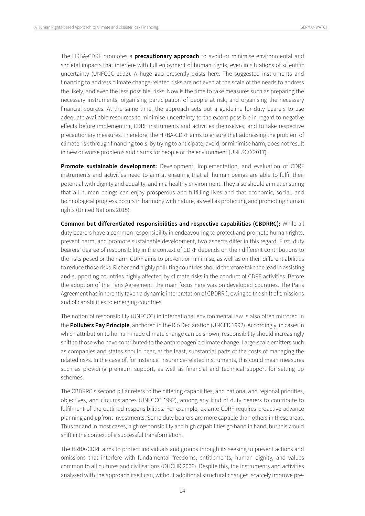The HRBA-CDRF promotes a **precautionary approach** to avoid or minimise environmental and societal impacts that interfere with full enjoyment of human rights, even in situations of scientific uncertainty (UNFCCC 1992). A huge gap presently exists here. The suggested instruments and financing to address climate change-related risks are not even at the scale of the needs to address the likely, and even the less possible, risks. Now is the time to take measures such as preparing the necessary instruments, organising participation of people at risk, and organising the necessary financial sources. At the same time, the approach sets out a guideline for duty bearers to use adequate available resources to minimise uncertainty to the extent possible in regard to negative effects before implementing CDRF instruments and activities themselves, and to take respective precautionary measures. Therefore, the HRBA-CDRF aims to ensure that addressing the problem of climate risk through financing tools, by trying to anticipate, avoid, or minimise harm, does not result in new or worse problems and harms for people or the environment (UNESCO 2017).

**Promote sustainable development:** Development, implementation, and evaluation of CDRF instruments and activities need to aim at ensuring that all human beings are able to fulfil their potential with dignity and equality, and in a healthy environment. They also should aim at ensuring that all human beings can enjoy prosperous and fulfilling lives and that economic, social, and technological progress occurs in harmony with nature, as well as protecting and promoting human rights (United Nations 2015).

**Common but differentiated responsibilities and respective capabilities (CBDRRC):** While all duty bearers have a common responsibility in endeavouring to protect and promote human rights, prevent harm, and promote sustainable development, two aspects differ in this regard. First, duty bearers' degree of responsibility in the context of CDRF depends on their different contributions to the risks posed or the harm CDRF aims to prevent or minimise, as well as on their different abilities to reduce those risks. Richer and highly polluting countries should therefore take the lead in assisting and supporting countries highly affected by climate risks in the conduct of CDRF activities. Before the adoption of the Paris Agreement, the main focus here was on developed countries. The Paris Agreement has inherently taken a dynamic interpretation of CBDRRC, owing to the shift of emissions and of capabilities to emerging countries.

The notion of responsibility (UNFCCC) in international environmental law is also often mirrored in the **Polluters Pay Principle**, anchored in the Rio Declaration (UNCED 1992). Accordingly, in cases in which attribution to human-made climate change can be shown, responsibility should increasingly shift to those who have contributed to the anthropogenic climate change. Large-scale emitters such as companies and states should bear, at the least, substantial parts of the costs of managing the related risks. In the case of, for instance, insurance-related instruments, this could mean measures such as providing premium support, as well as financial and technical support for setting up schemes.

The CBDRRC's second pillar refers to the differing capabilities, and national and regional priorities, objectives, and circumstances (UNFCCC 1992), among any kind of duty bearers to contribute to fulfilment of the outlined responsibilities. For example, ex-ante CDRF requires proactive advance planning and upfront investments. Some duty bearers are more capable than others in these areas. Thus far and in most cases, high responsibility and high capabilities go hand in hand, but this would shift in the context of a successful transformation.

The HRBA-CDRF aims to protect individuals and groups through its seeking to prevent actions and omissions that interfere with fundamental freedoms, entitlements, human dignity, and values common to all cultures and civilisations (OHCHR 2006). Despite this, the instruments and activities analysed with the approach itself can, without additional structural changes, scarcely improve pre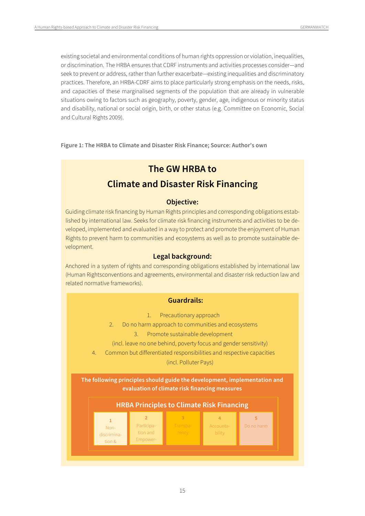existing societal and environmental conditions of human rights oppression or violation, inequalities, or discrimination. The HRBA ensures that CDRF instruments and activities processes consider—and seek to prevent or address, rather than further exacerbate—existing inequalities and discriminatory practices. Therefore, an HRBA-CDRF aims to place particularly strong emphasis on the needs, risks, and capacities of these marginalised segments of the population that are already in vulnerable situations owing to factors such as geography, poverty, gender, age, indigenous or minority status and disability, national or social origin, birth, or other status (e.g. Committee on Economic, Social and Cultural Rights 2009).

**Figure 1: The HRBA to Climate and Disaster Risk Finance; Source: Author's own**

## **The GW HRBA to**

## **Climate and Disaster Risk Financing**

#### **Objective:**

Guiding climate risk financing by Human Rights principles and corresponding obligations established by international law. Seeks for climate risk financing instruments and activities to be developed, implemented and evaluated in a way to protect and promote the enjoyment of Human Rights to prevent harm to communities and ecosystems as well as to promote sustainable development.

#### **Legal background:**

Anchored in a system of rights and corresponding obligations established by international law (Human Rightsconventions and agreements, environmental and disaster risk reduction law and related normative frameworks).

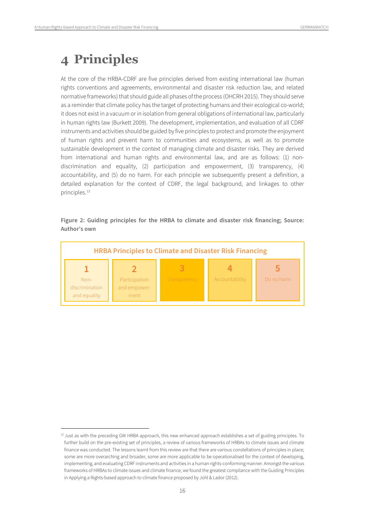# <span id="page-15-0"></span>**4 Principles**

At the core of the HRBA-CDRF are five principles derived from existing international law (human rights conventions and agreements, environmental and disaster risk reduction law, and related normative frameworks) that should guide all phases of the process (OHCRH 2015). They should serve as a reminder that climate policy has the target of protecting humans and their ecological co-world; it does not exist in a vacuum or in isolation from general obligations of international law, particularly in human rights law (Burkett 2009). The development, implementation, and evaluation of all CDRF instruments and activities should be guided by five principles to protect and promote the enjoyment of human rights and prevent harm to communities and ecosystems, as well as to promote sustainable development in the context of managing climate and disaster risks. They are derived from international and human rights and environmental law, and are as follows: (1) nondiscrimination and equality, (2) participation and empowerment, (3) transparency, (4) accountability, and (5) do no harm. For each principle we subsequently present a definition, a detailed explanation for the context of CDRF, the legal background, and linkages to other principles.<sup>[12](#page-15-1)</sup>

#### **Figure 2: Guiding principles for the HRBA to climate and disaster risk financing; Source: Author's own**



<span id="page-15-1"></span><sup>&</sup>lt;sup>12</sup> Just as with the preceding GW HRBA approach, this new enhanced approach establishes a set of guiding principles. To further build on the pre-existing set of principles, a review of various frameworks of HRBAs to climate issues and climate finance was conducted. The lessons learnt from this review are that there are various constellations of principles in place; some are more overarching and broader, some are more applicable to be operationalised for the context of developing, implementing, and evaluating CDRF instruments and activities in a human rights-conforming manner. Amongst the various frameworks of HRBAs to climate issues and climate finance, we found the greatest compliance with the Guiding Principles in Applying a Rights-based approach to climate finance proposed by Johl & Lador (2012).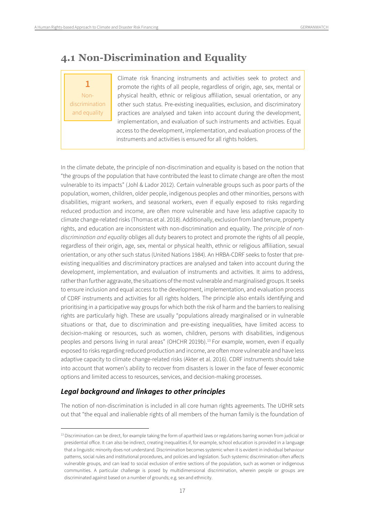# <span id="page-16-0"></span>**4.1 Non-Discrimination and Equality**

**1** Nondiscrimination and equality

Climate risk financing instruments and activities seek to protect and promote the rights of all people, regardless of origin, age, sex, mental or physical health, ethnic or religious affiliation, sexual orientation, or any other such status. Pre-existing inequalities, exclusion, and discriminatory practices are analysed and taken into account during the development, implementation, and evaluation of such instruments and activities. Equal access to the development, implementation, and evaluation process of the instruments and activities is ensured for all rights holders.

In the climate debate, the principle of non-discrimination and equality is based on the notion that "the groups of the population that have contributed the least to climate change are often the most vulnerable to its impacts" (Johl & Lador 2012). Certain vulnerable groups such as poor parts of the population, women, children, older people, indigenous peoples and other minorities, persons with disabilities, migrant workers, and seasonal workers, even if equally exposed to risks regarding reduced production and income, are often more vulnerable and have less adaptive capacity to climate change-related risks (Thomas et al. 2018). Additionally, exclusion from land tenure, property rights, and education are inconsistent with non-discrimination and equality. The *principle of nondiscrimination and equality* obliges all duty bearers to protect and promote the rights of all people, regardless of their origin, age, sex, mental or physical health, ethnic or religious affiliation, sexual orientation, or any other such status (United Nations 1984). An HRBA-CDRF seeks to foster that preexisting inequalities and discriminatory practices are analysed and taken into account during the development, implementation, and evaluation of instruments and activities. It aims to address, rather than further aggravate, the situations of the most vulnerable and marginalised groups. It seeks to ensure inclusion and equal access to the development, implementation, and evaluation process of CDRF instruments and activities for all rights holders. The principle also entails identifying and prioritising in a participative way groups for which both the risk of harm and the barriers to realising rights are particularly high. These are usually "populations already marginalised or in vulnerable situations or that, due to discrimination and pre-existing inequalities, have limited access to decision-making or resources, such as women, children, persons with disabilities, indigenous peoples and persons living in rural areas" (OHCHR 2019b).<sup>[13](#page-16-1)</sup> For example, women, even if equally exposed to risks regarding reduced production and income, are often more vulnerable and have less adaptive capacity to climate change-related risks (Akter et al. 2016). CDRF instruments should take into account that women's ability to recover from disasters is lower in the face of fewer economic options and limited access to resources, services, and decision-making processes.

#### *Legal background and linkages to other principles*

The notion of non-discrimination is included in all core human rights agreements. The UDHR sets out that "the equal and inalienable rights of all members of the human family is the foundation of

<span id="page-16-1"></span><sup>&</sup>lt;sup>13</sup> Discrimination can be direct, for example taking the form of apartheid laws or regulations barring women from judicial or presidential office. It can also be indirect, creating inequalities if, for example, school education is provided in a language that a linguistic minority does not understand. Discrimination becomes systemic when it is evident in individual behaviour patterns, social rules and institutional procedures, and policies and legislation. Such systemic discrimination often affects vulnerable groups, and can lead to social exclusion of entire sections of the population, such as women or indigenous communities. A particular challenge is posed by multidimensional discrimination, wherein people or groups are discriminated against based on a number of grounds; e.g. sex and ethnicity.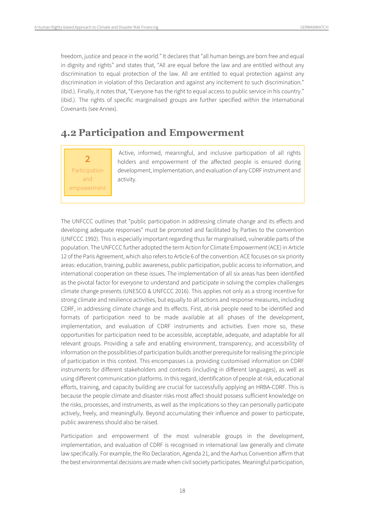freedom, justice and peace in the world." It declares that "all human beings are born free and equal in dignity and rights" and states that, "All are equal before the law and are entitled without any discrimination to equal protection of the law. All are entitled to equal protection against any discrimination in violation of this Declaration and against any incitement to such discrimination." (ibid.). Finally, it notes that, "Everyone has the right to equal access to public service in his country." (ibid.). The rights of specific marginalised groups are further specified within the International Covenants (see Annex).

# <span id="page-17-0"></span>**4.2 Participation and Empowerment**

## **2** Participation and empowerment

Active, informed, meaningful, and inclusive participation of all rights holders and empowerment of the affected people is ensured during development, implementation, and evaluation of any CDRF instrument and activity.

The UNFCCC outlines that "public participation in addressing climate change and its effects and developing adequate responses" must be promoted and facilitated by Parties to the convention (UNFCCC 1992). This is especially important regarding thus far marginalised, vulnerable parts of the population. The UNFCCC further adopted the term Action for Climate Empowerment (ACE) in Article 12 of the Paris Agreement, which also refers to Article 6 of the convention. ACE focuses on six priority areas: education, training, public awareness, public participation, public access to information, and international cooperation on these issues. The implementation of all six areas has been identified as the pivotal factor for everyone to understand and participate in solving the complex challenges climate change presents (UNESCO & UNFCCC 2016). This applies not only as a strong incentive for strong climate and resilience activities, but equally to all actions and response measures, including CDRF, in addressing climate change and its effects. First, at-risk people need to be identified and formats of participation need to be made available at all phases of the development, implementation, and evaluation of CDRF instruments and activities. Even more so, these opportunities for participation need to be accessible, acceptable, adequate, and adaptable for all relevant groups. Providing a safe and enabling environment, transparency, and accessibility of information on the possibilities of participation builds another prerequisite forrealising the principle of participation in this context. This encompasses i.a. providing customised information on CDRF instruments for different stakeholders and contexts (including in different languages), as well as using different communication platforms. In this regard, identification of people at risk, educational efforts, training, and capacity building are crucial for successfully applying an HRBA-CDRF. This is because the people climate and disaster risks most affect should possess sufficient knowledge on the risks, processes, and instruments, as well as the implications so they can personally participate actively, freely, and meaningfully. Beyond accumulating their influence and power to participate, public awareness should also be raised.

Participation and empowerment of the most vulnerable groups in the development, implementation, and evaluation of CDRF is recognised in international law generally and climate law specifically. For example, the Rio Declaration, Agenda 21, and the Aarhus Convention affirm that the best environmental decisions are made when civil society participates. Meaningful participation,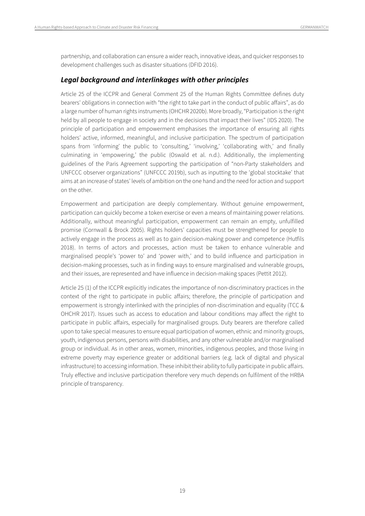partnership, and collaboration can ensure a wider reach, innovative ideas, and quicker responses to development challenges such as disaster situations (DFID 2016).

#### *Legal background and interlinkages with other principles*

Article 25 of the ICCPR and General Comment 25 of the Human Rights Committee defines duty bearers' obligations in connection with "the right to take part in the conduct of public affairs", as do a large number of human rights instruments (OHCHR 2020b). More broadly,"Participation is the right held by all people to engage in society and in the decisions that impact their lives" (IDS 2020). The principle of participation and empowerment emphasises the importance of ensuring all rights holders' active, informed, meaningful, and inclusive participation. The spectrum of participation spans from 'informing' the public to 'consulting,' 'involving,' 'collaborating with,' and finally culminating in 'empowering,' the public (Oswald et al. n.d.). Additionally, the implementing guidelines of the Paris Agreement supporting the participation of "non-Party stakeholders and UNFCCC observer organizations" (UNFCCC 2019b), such as inputting to the 'global stocktake' that aims at an increase of states' levels of ambition on the one hand and the need for action and support on the other.

Empowerment and participation are deeply complementary. Without genuine empowerment, participation can quickly become a token exercise or even a means of maintaining power relations. Additionally, without meaningful participation, empowerment can remain an empty, unfulfilled promise (Cornwall & Brock 2005). Rights holders' capacities must be strengthened for people to actively engage in the process as well as to gain decision-making power and competence (Hutfils 2018). In terms of actors and processes, action must be taken to enhance vulnerable and marginalised people's 'power to' and 'power with,' and to build influence and participation in decision-making processes, such as in finding ways to ensure marginalised and vulnerable groups, and their issues, are represented and have influence in decision-making spaces (Pettit 2012).

Article 25 (1) of the ICCPR explicitly indicates the importance of non-discriminatory practices in the context of the right to participate in public affairs; therefore, the principle of participation and empowerment is strongly interlinked with the principles of non-discrimination and equality (TCC & OHCHR 2017). Issues such as access to education and labour conditions may affect the right to participate in public affairs, especially for marginalised groups. Duty bearers are therefore called upon to take special measures to ensure equal participation of women, ethnic and minority groups, youth, indigenous persons, persons with disabilities, and any other vulnerable and/or marginalised group or individual. As in other areas, women, minorities, indigenous peoples, and those living in extreme poverty may experience greater or additional barriers (e.g. lack of digital and physical infrastructure) to accessing information. These inhibit their ability to fully participate in public affairs. Truly effective and inclusive participation therefore very much depends on fulfilment of the HRBA principle of transparency.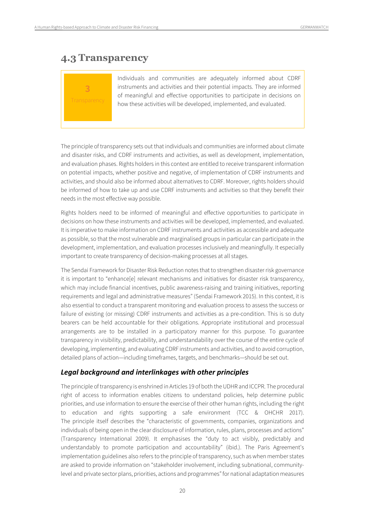## <span id="page-19-0"></span>**4.3 Transparency**

# **3**

Individuals and communities are adequately informed about CDRF instruments and activities and their potential impacts. They are informed of meaningful and effective opportunities to participate in decisions on how these activities will be developed, implemented, and evaluated.

The principle of transparency sets out that individuals and communities are informed about climate and disaster risks, and CDRF instruments and activities, as well as development, implementation, and evaluation phases. Rights holders in this context are entitled to receive transparent information on potential impacts, whether positive and negative, of implementation of CDRF instruments and activities, and should also be informed about alternatives to CDRF. Moreover, rights holders should be informed of how to take up and use CDRF instruments and activities so that they benefit their needs in the most effective way possible.

Rights holders need to be informed of meaningful and effective opportunities to participate in decisions on how these instruments and activities will be developed, implemented, and evaluated. It is imperative to make information on CDRF instruments and activities as accessible and adequate as possible, so that the most vulnerable and marginalised groups in particular can participate in the development, implementation, and evaluation processes inclusively and meaningfully. It especially important to create transparency of decision-making processes at all stages.

The Sendai Framework for Disaster Risk Reduction notes that to strengthen disaster risk governance it is important to "enhance[e] relevant mechanisms and initiatives for disaster risk transparency, which may include financial incentives, public awareness-raising and training initiatives, reporting requirements and legal and administrative measures" (Sendai Framework 2015). In this context, it is also essential to conduct a transparent monitoring and evaluation process to assess the success or failure of existing (or missing) CDRF instruments and activities as a pre-condition. This is so duty bearers can be held accountable for their obligations. Appropriate institutional and processual arrangements are to be installed in a participatory manner for this purpose. To guarantee transparency in visibility, predictability, and understandability over the course of the entire cycle of developing, implementing, and evaluating CDRF instruments and activities, and to avoid corruption, detailed plans of action—including timeframes, targets, and benchmarks—should be set out.

#### *Legal background and interlinkages with other principles*

The principle of transparency is enshrined in Articles 19 of both the UDHR and ICCPR. The procedural right of access to information enables citizens to understand policies, help determine public priorities, and use information to ensure the exercise of their other human rights, including the right to education and rights supporting a safe environment (TCC & OHCHR 2017). The principle itself describes the "characteristic of governments, companies, organizations and individuals of being open in the clear disclosure of information, rules, plans, processes and actions" (Transparency International 2009). It emphasises the "duty to act visibly, predictably and understandably to promote participation and accountability" (ibid.). The Paris Agreement's implementation guidelines also refers to the principle of transparency, such as when member states are asked to provide information on "stakeholder involvement, including subnational, communitylevel and private sector plans, priorities, actions and programmes" for national adaptation measures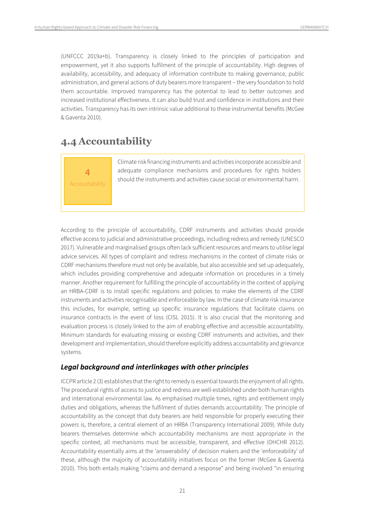(UNFCCC 2019a+b). Transparency is closely linked to the principles of participation and empowerment, yet it also supports fulfilment of the principle of accountability. High degrees of availability, accessibility, and adequacy of information contribute to making governance, public administration, and general actions of duty bearers more transparent – the very foundation to hold them accountable. Improved transparency has the potential to lead to better outcomes and increased institutional effectiveness. It can also build trust and confidence in institutions and their activities. Transparency has its own intrinsic value additional to these instrumental benefits (McGee & Gaventa 2010).

# <span id="page-20-0"></span>**4.4 Accountability**

**4** Accountability Climate risk financing instruments and activities incorporate accessible and adequate compliance mechanisms and procedures for rights holders should the instruments and activities cause social or environmental harm.

According to the principle of accountability, CDRF instruments and activities should provide effective access to judicial and administrative proceedings, including redress and remedy (UNESCO 2017). Vulnerable and marginalised groups often lack sufficient resources and means to utilise legal advice services. All types of complaint and redress mechanisms in the context of climate risks or CDRF mechanisms therefore must not only be available, but also accessible and set up adequately, which includes providing comprehensive and adequate information on procedures in a timely manner. Another requirement for fulfilling the principle of accountability in the context of applying an HRBA-CDRF is to install specific regulations and policies to make the elements of the CDRF instruments and activities recognisable and enforceable by law. In the case of climate risk insurance this includes, for example, setting up specific insurance regulations that facilitate claims on insurance contracts in the event of loss (CISL 2015). It is also crucial that the monitoring and evaluation process is closely linked to the aim of enabling effective and accessible accountability. Minimum standards for evaluating missing or existing CDRF instruments and activities, and their development and implementation, should therefore explicitly address accountability and grievance systems.

#### *Legal background and interlinkages with other principles*

ICCPR article 2 (3) establishes that the right to remedy is essential towards the enjoyment of all rights. The procedural rights of access to justice and redress are well-established under both human rights and international environmental law. As emphasised multiple times, rights and entitlement imply duties and obligations, whereas the fulfilment of duties demands accountability. The principle of accountability as the concept that duty bearers are held responsible for properly executing their powers is, therefore, a central element of an HRBA (Transparency International 2009). While duty bearers themselves determine which accountability mechanisms are most appropriate in the specific context, all mechanisms must be accessible, transparent, and effective (OHCHR 2012). Accountability essentially aims at the 'answerability' of decision makers and the 'enforceability' of these, although the majority of accountability initiatives focus on the former (McGee & Gaventa 2010). This both entails making "claims and demand a response" and being involved "in ensuring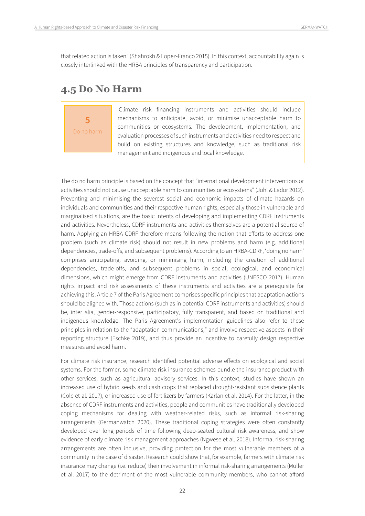that related action is taken" (Shahrokh & Lopez-Franco 2015). In this context, accountability again is closely interlinked with the HRBA principles of transparency and participation.

## <span id="page-21-0"></span>**4.5 Do No Harm**

**5** Do no harm

Climate risk financing instruments and activities should include mechanisms to anticipate, avoid, or minimise unacceptable harm to communities or ecosystems. The development, implementation, and evaluation processes of such instruments and activities need to respect and build on existing structures and knowledge, such as traditional risk management and indigenous and local knowledge.

The do no harm principle is based on the concept that "international development interventions or activities should not cause unacceptable harm to communities or ecosystems" (Johl & Lador 2012). Preventing and minimising the severest social and economic impacts of climate hazards on individuals and communities and their respective human rights, especially those in vulnerable and marginalised situations, are the basic intents of developing and implementing CDRF instruments and activities. Nevertheless, CDRF instruments and activities themselves are a potential source of harm. Applying an HRBA-CDRF therefore means following the notion that efforts to address one problem (such as climate risk) should not result in new problems and harm (e.g. additional dependencies, trade-offs, and subsequent problems). According to an HRBA-CDRF, 'doing no harm' comprises anticipating, avoiding, or minimising harm, including the creation of additional dependencies, trade-offs, and subsequent problems in social, ecological, and economical dimensions, which might emerge from CDRF instruments and activities (UNESCO 2017). Human rights impact and risk assessments of these instruments and activities are a prerequisite for achieving this. Article 7 of the Paris Agreement comprises specific principles that adaptation actions should be aligned with. Those actions (such as in potential CDRF instruments and activities) should be, inter alia, gender-responsive, participatory, fully transparent, and based on traditional and indigenous knowledge. The Paris Agreement's implementation guidelines also refer to these principles in relation to the "adaptation communications," and involve respective aspects in their reporting structure (Eschke 2019), and thus provide an incentive to carefully design respective measures and avoid harm.

For climate risk insurance, research identified potential adverse effects on ecological and social systems. For the former, some climate risk insurance schemes bundle the insurance product with other services, such as agricultural advisory services. In this context, studies have shown an increased use of hybrid seeds and cash crops that replaced drought-resistant subsistence plants (Cole et al. 2017), or increased use of fertilizers by farmers (Karlan et al. 2014). For the latter, in the absence of CDRF instruments and activities, people and communities have traditionally developed coping mechanisms for dealing with weather-related risks, such as informal risk-sharing arrangements (Germanwatch 2020). These traditional coping strategies were often constantly developed over long periods of time following deep-seated cultural risk awareness, and show evidence of early climate risk management approaches (Ngwese et al. 2018). Informal risk-sharing arrangements are often inclusive, providing protection for the most vulnerable members of a community in the case of disaster. Research could show that, for example, farmers with climate risk insurance may change (i.e. reduce) their involvement in informal risk-sharing arrangements (Müller et al. 2017) to the detriment of the most vulnerable community members, who cannot afford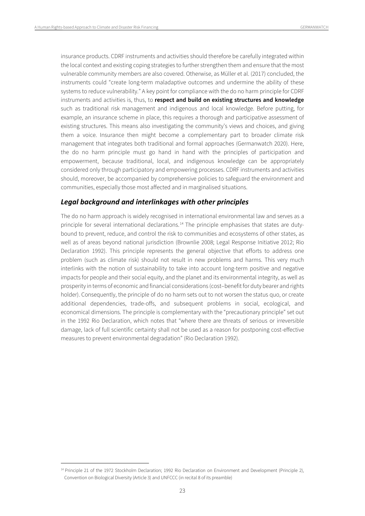insurance products. CDRF instruments and activities should therefore be carefully integrated within the local context and existing coping strategies to further strengthen them and ensure that the most vulnerable community members are also covered. Otherwise, as Müller et al. (2017) concluded, the instruments could "create long-term maladaptive outcomes and undermine the ability of these systems to reduce vulnerability." A key point for compliance with the do no harm principle for CDRF instruments and activities is, thus, to **respect and build on existing structures and knowledge** such as traditional risk management and indigenous and local knowledge. Before putting, for example, an insurance scheme in place, this requires a thorough and participative assessment of existing structures. This means also investigating the community's views and choices, and giving them a voice. Insurance then might become a complementary part to broader climate risk management that integrates both traditional and formal approaches (Germanwatch 2020). Here, the do no harm principle must go hand in hand with the principles of participation and empowerment, because traditional, local, and indigenous knowledge can be appropriately considered only through participatory and empowering processes. CDRF instruments and activities should, moreover, be accompanied by comprehensive policies to safeguard the environment and communities, especially those most affected and in marginalised situations.

#### *Legal background and interlinkages with other principles*

The do no harm approach is widely recognised in international environmental law and serves as a principle for several international declarations. [14](#page-22-0) The principle emphasises that states are dutybound to prevent, reduce, and control the risk to communities and ecosystems of other states, as well as of areas beyond national jurisdiction (Brownlie 2008; Legal Response Initiative 2012; Rio Declaration 1992). This principle represents the general objective that efforts to address one problem (such as climate risk) should not result in new problems and harms. This very much interlinks with the notion of sustainability to take into account long-term positive and negative impacts for people and their social equity, and the planet and its environmental integrity, as well as prosperity in terms of economic and financial considerations (cost–benefit for duty bearer and rights holder). Consequently, the principle of do no harm sets out to not worsen the status quo, or create additional dependencies, trade-offs, and subsequent problems in social, ecological, and economical dimensions. The principle is complementary with the "precautionary principle" set out in the 1992 Rio Declaration, which notes that "where there are threats of serious or irreversible damage, lack of full scientific certainty shall not be used as a reason for postponing cost-effective measures to prevent environmental degradation" (Rio Declaration 1992).

<span id="page-22-0"></span><sup>&</sup>lt;sup>14</sup> Principle 21 of the 1972 Stockholm Declaration; 1992 Rio Declaration on Environment and Development (Principle 2), Convention on Biological Diversity (Article 3) and UNFCCC (in recital 8 of its preamble)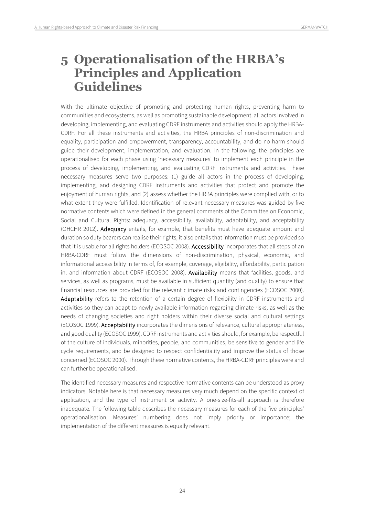# <span id="page-23-0"></span>**5 Operationalisation of the HRBA's Principles and Application Guidelines**

With the ultimate objective of promoting and protecting human rights, preventing harm to communities and ecosystems, as well as promoting sustainable development, all actors involved in developing, implementing, and evaluating CDRF instruments and activities should apply the HRBA-CDRF. For all these instruments and activities, the HRBA principles of non-discrimination and equality, participation and empowerment, transparency, accountability, and do no harm should guide their development, implementation, and evaluation. In the following, the principles are operationalised for each phase using 'necessary measures' to implement each principle in the process of developing, implementing, and evaluating CDRF instruments and activities. These necessary measures serve two purposes: (1) guide all actors in the process of developing, implementing, and designing CDRF instruments and activities that protect and promote the enjoyment of human rights, and (2) assess whether the HRBA principles were complied with, or to what extent they were fulfilled. Identification of relevant necessary measures was guided by five normative contents which were defined in the general comments of the Committee on Economic, Social and Cultural Rights: adequacy, accessibility, availability, adaptability, and acceptability (OHCHR 2012). Adequacy entails, for example, that benefits must have adequate amount and duration so duty bearers can realise their rights, it also entails that information must be provided so that it is usable for all rights holders (ECOSOC 2008). Accessibility incorporates that all steps of an HRBA-CDRF must follow the dimensions of non-discrimination, physical, economic, and informational accessibility in terms of, for example, coverage, eligibility, affordability, participation in, and information about CDRF (ECOSOC 2008). Availability means that facilities, goods, and services, as well as programs, must be available in sufficient quantity (and quality) to ensure that financial resources are provided for the relevant climate risks and contingencies (ECOSOC 2000). Adaptability refers to the retention of a certain degree of flexibility in CDRF instruments and activities so they can adapt to newly available information regarding climate risks, as well as the needs of changing societies and right holders within their diverse social and cultural settings (ECOSOC 1999). Acceptability incorporates the dimensions of relevance, cultural appropriateness, and good quality (ECOSOC 1999). CDRF instruments and activities should, for example, be respectful of the culture of individuals, minorities, people, and communities, be sensitive to gender and life cycle requirements, and be designed to respect confidentiality and improve the status of those concerned (ECOSOC 2000). Through these normative contents, the HRBA-CDRF principles were and can further be operationalised.

The identified necessary measures and respective normative contents can be understood as proxy indicators. Notable here is that necessary measures very much depend on the specific context of application, and the type of instrument or activity. A one-size-fits-all approach is therefore inadequate. The following table describes the necessary measures for each of the five principles' operationalisation. Measures' numbering does not imply priority or importance; the implementation of the different measures is equally relevant.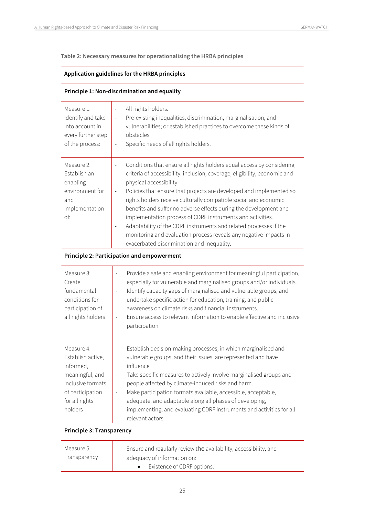**Table 2: Necessary measures for operationalising the HRBA principles**

| Application guidelines for the HRBA principles                                                                                        |                                                                                                                                                                                                                                                                                                                                                                                                                                                                                                                                                                                                                                                    |  |  |  |  |
|---------------------------------------------------------------------------------------------------------------------------------------|----------------------------------------------------------------------------------------------------------------------------------------------------------------------------------------------------------------------------------------------------------------------------------------------------------------------------------------------------------------------------------------------------------------------------------------------------------------------------------------------------------------------------------------------------------------------------------------------------------------------------------------------------|--|--|--|--|
| Principle 1: Non-discrimination and equality                                                                                          |                                                                                                                                                                                                                                                                                                                                                                                                                                                                                                                                                                                                                                                    |  |  |  |  |
| Measure 1:<br>Identify and take<br>into account in<br>every further step<br>of the process:                                           | All rights holders.<br>$\equiv$<br>Pre-existing inequalities, discrimination, marginalisation, and<br>vulnerabilities; or established practices to overcome these kinds of<br>obstacles.<br>Specific needs of all rights holders.<br>$\overline{\phantom{0}}$                                                                                                                                                                                                                                                                                                                                                                                      |  |  |  |  |
| Measure 2:<br>Establish an<br>enabling<br>environment for<br>and<br>implementation<br>of:                                             | Conditions that ensure all rights holders equal access by considering<br>criteria of accessibility: inclusion, coverage, eligibility, economic and<br>physical accessibility<br>Policies that ensure that projects are developed and implemented so<br>rights holders receive culturally compatible social and economic<br>benefits and suffer no adverse effects during the development and<br>implementation process of CDRF instruments and activities.<br>Adaptability of the CDRF instruments and related processes if the<br>monitoring and evaluation process reveals any negative impacts in<br>exacerbated discrimination and inequality. |  |  |  |  |
| <b>Principle 2: Participation and empowerment</b>                                                                                     |                                                                                                                                                                                                                                                                                                                                                                                                                                                                                                                                                                                                                                                    |  |  |  |  |
| Measure 3:<br>Create<br>fundamental<br>conditions for<br>participation of<br>all rights holders                                       | Provide a safe and enabling environment for meaningful participation,<br>especially for vulnerable and marginalised groups and/or individuals.<br>Identify capacity gaps of marginalised and vulnerable groups, and<br>undertake specific action for education, training, and public<br>awareness on climate risks and financial instruments.<br>Ensure access to relevant information to enable effective and inclusive<br>$\qquad \qquad \blacksquare$<br>participation.                                                                                                                                                                         |  |  |  |  |
| Measure 4:<br>Establish active,<br>informed,<br>meaningful, and<br>inclusive formats<br>of participation<br>for all rights<br>holders | Establish decision-making processes, in which marginalised and<br>vulnerable groups, and their issues, are represented and have<br>influence.<br>Take specific measures to actively involve marginalised groups and<br>people affected by climate-induced risks and harm.<br>Make participation formats available, accessible, acceptable,<br>adequate, and adaptable along all phases of developing,<br>implementing, and evaluating CDRF instruments and activities for all<br>relevant actors.                                                                                                                                                  |  |  |  |  |
| Principle 3: Transparency                                                                                                             |                                                                                                                                                                                                                                                                                                                                                                                                                                                                                                                                                                                                                                                    |  |  |  |  |
| Measure 5:<br>Transparency                                                                                                            | Ensure and regularly review the availability, accessibility, and<br>adequacy of information on:<br>Existence of CDRF options.                                                                                                                                                                                                                                                                                                                                                                                                                                                                                                                      |  |  |  |  |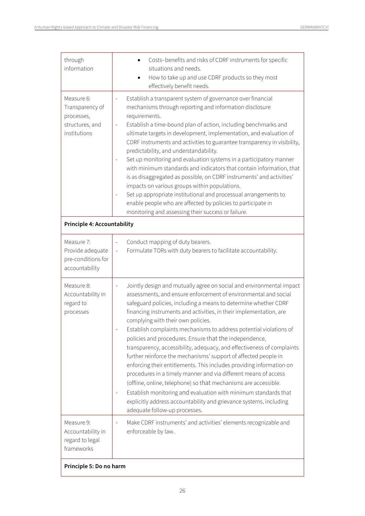| through<br>information                                                         | Costs-benefits and risks of CDRF instruments for specific<br>situations and needs.<br>How to take up and use CDRF products so they most<br>effectively benefit needs.                                                                                                                                                                                                                                                                                                                                                                                                                                                                                                                                                                                                                                                                                                                                                                                                                       |  |  |  |  |
|--------------------------------------------------------------------------------|---------------------------------------------------------------------------------------------------------------------------------------------------------------------------------------------------------------------------------------------------------------------------------------------------------------------------------------------------------------------------------------------------------------------------------------------------------------------------------------------------------------------------------------------------------------------------------------------------------------------------------------------------------------------------------------------------------------------------------------------------------------------------------------------------------------------------------------------------------------------------------------------------------------------------------------------------------------------------------------------|--|--|--|--|
| Measure 6:<br>Transparency of<br>processes,<br>structures, and<br>institutions | Establish a transparent system of governance over financial<br>mechanisms through reporting and information disclosure<br>requirements.<br>Establish a time-bound plan of action, including benchmarks and<br>ultimate targets in development, implementation, and evaluation of<br>CDRF instruments and activities to guarantee transparency in visibility,<br>predictability, and understandability.<br>Set up monitoring and evaluation systems in a participatory manner<br>with minimum standards and indicators that contain information, that<br>is as disaggregated as possible, on CDRF instruments' and activities'<br>impacts on various groups within populations.<br>Set up appropriate institutional and processual arrangements to<br>enable people who are affected by policies to participate in<br>monitoring and assessing their success or failure.                                                                                                                     |  |  |  |  |
| <b>Principle 4: Accountability</b>                                             |                                                                                                                                                                                                                                                                                                                                                                                                                                                                                                                                                                                                                                                                                                                                                                                                                                                                                                                                                                                             |  |  |  |  |
| Measure 7:<br>Provide adequate<br>pre-conditions for<br>accountability         | Conduct mapping of duty bearers.<br>Formulate TORs with duty bearers to facilitate accountability.                                                                                                                                                                                                                                                                                                                                                                                                                                                                                                                                                                                                                                                                                                                                                                                                                                                                                          |  |  |  |  |
| Measure 8:<br>Accountability in<br>regard to<br>processes                      | Jointly design and mutually agree on social and environmental impact<br>assessments, and ensure enforcement of environmental and social<br>safeguard policies, including a means to determine whether CDRF<br>financing instruments and activities, in their implementation, are<br>complying with their own policies.<br>Establish complaints mechanisms to address potential violations of<br>policies and procedures. Ensure that the independence,<br>transparency, accessibility, adequacy, and effectiveness of complaints<br>further reinforce the mechanisms' support of affected people in<br>enforcing their entitlements. This includes providing information on<br>procedures in a timely manner and via different means of access<br>(offline, online, telephone) so that mechanisms are accessible.<br>Establish monitoring and evaluation with minimum standards that<br>explicitly address accountability and grievance systems, including<br>adequate follow-up processes. |  |  |  |  |
| Measure 9:<br>Accountability in<br>regard to legal<br>frameworks               | Make CDRF instruments' and activities' elements recognizable and<br>enforceable by law.                                                                                                                                                                                                                                                                                                                                                                                                                                                                                                                                                                                                                                                                                                                                                                                                                                                                                                     |  |  |  |  |
| Principle 5: Do no harm                                                        |                                                                                                                                                                                                                                                                                                                                                                                                                                                                                                                                                                                                                                                                                                                                                                                                                                                                                                                                                                                             |  |  |  |  |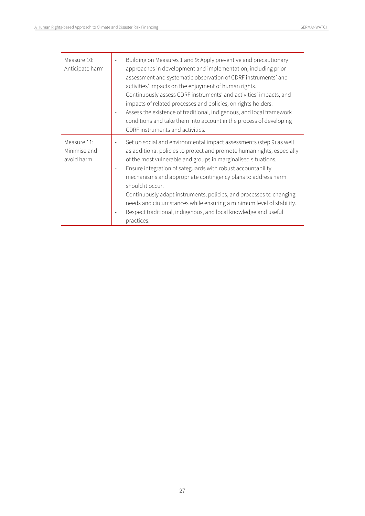| Measure 10:<br>Anticipate harm            | Building on Measures 1 and 9: Apply preventive and precautionary<br>approaches in development and implementation, including prior<br>assessment and systematic observation of CDRF instruments' and<br>activities' impacts on the enjoyment of human rights.<br>Continuously assess CDRF instruments' and activities' impacts, and<br>impacts of related processes and policies, on rights holders.<br>Assess the existence of traditional, indigenous, and local framework<br>conditions and take them into account in the process of developing<br>CDRF instruments and activities.             |
|-------------------------------------------|---------------------------------------------------------------------------------------------------------------------------------------------------------------------------------------------------------------------------------------------------------------------------------------------------------------------------------------------------------------------------------------------------------------------------------------------------------------------------------------------------------------------------------------------------------------------------------------------------|
| Measure 11:<br>Minimise and<br>avoid harm | Set up social and environmental impact assessments (step 9) as well<br>as additional policies to protect and promote human rights, especially<br>of the most vulnerable and groups in marginalised situations.<br>Ensure integration of safeguards with robust accountability<br>mechanisms and appropriate contingency plans to address harm<br>should it occur.<br>Continuously adapt instruments, policies, and processes to changing<br>needs and circumstances while ensuring a minimum level of stability.<br>Respect traditional, indigenous, and local knowledge and useful<br>practices. |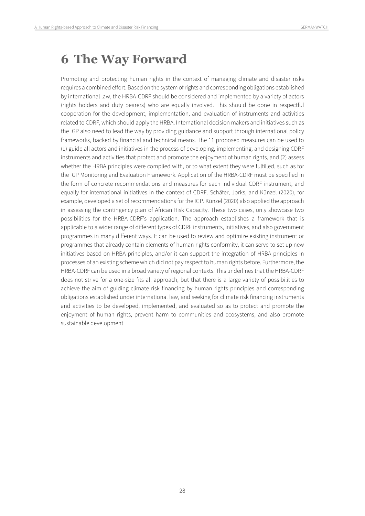# <span id="page-27-0"></span>**6 The Way Forward**

Promoting and protecting human rights in the context of managing climate and disaster risks requires a combined effort. Based on the system of rights and corresponding obligations established by international law, the HRBA-CDRF should be considered and implemented by a variety of actors (rights holders and duty bearers) who are equally involved. This should be done in respectful cooperation for the development, implementation, and evaluation of instruments and activities related to CDRF, which should apply the HRBA. International decision makers and initiatives such as the IGP also need to lead the way by providing guidance and support through international policy frameworks, backed by financial and technical means. The 11 proposed measures can be used to (1) guide all actors and initiatives in the process of developing, implementing, and designing CDRF instruments and activities that protect and promote the enjoyment of human rights, and (2) assess whether the HRBA principles were complied with, or to what extent they were fulfilled, such as for the IGP Monitoring and Evaluation Framework. Application of the HRBA-CDRF must be specified in the form of concrete recommendations and measures for each individual CDRF instrument, and equally for international initiatives in the context of CDRF. Schäfer, Jorks, and Künzel (2020), for example, developed a set of recommendations for the IGP. Künzel (2020) also applied the approach in assessing the contingency plan of African Risk Capacity. These two cases, only showcase two possibilities for the HRBA-CDRF's application. The approach establishes a framework that is applicable to a wider range of different types of CDRF instruments, initiatives, and also government programmes in many different ways. It can be used to review and optimize existing instrument or programmes that already contain elements of human rights conformity, it can serve to set up new initiatives based on HRBA principles, and/or it can support the integration of HRBA principles in processes of an existing scheme which did not pay respect to human rights before. Furthermore, the HRBA-CDRF can be used in a broad variety of regional contexts. This underlines that the HRBA-CDRF does not strive for a one-size fits all approach, but that there is a large variety of possibilities to achieve the aim of guiding climate risk financing by human rights principles and corresponding obligations established under international law, and seeking for climate risk financing instruments and activities to be developed, implemented, and evaluated so as to protect and promote the enjoyment of human rights, prevent harm to communities and ecosystems, and also promote sustainable development.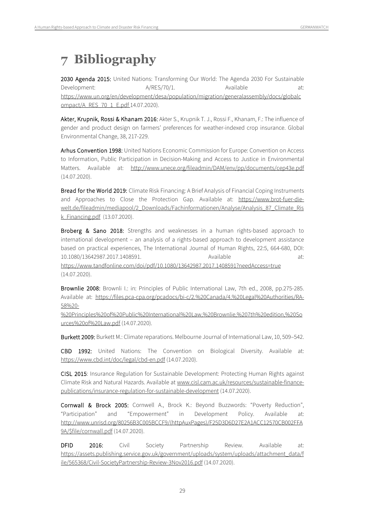# <span id="page-28-0"></span>**7 Bibliography**

2030 Agenda 2015: United Nations: Transforming Our World: The Agenda 2030 For Sustainable Development:  $A/RES/70/1.$  Available at: https://www.un.org/en/development/desa/population/migration/generalassembly/docs/globalc ompact/A\_RES\_70\_1\_E.pdf 14.07.2020).

Akter, Krupnik, Rossi & Khanam 2016: Akter S., Krupnik T. J., Rossi F., Khanam, F.: The influence of gender and product design on farmers' preferences for weather-indexed crop insurance. Global Environmental Change, 38, 217-229.

Arhus Convention 1998: United Nations Economic Commission for Europe: Convention on Access to Information, Public Participation in Decision-Making and Access to Justice in Environmental Matters. Available at: <http://www.unece.org/fileadmin/DAM/env/pp/documents/cep43e.pdf> (14.07.2020).

Bread for the World 2019: Climate Risk Financing: A Brief Analysis of Financial Coping Instruments and Approaches to Close the Protection Gap. Available at: [https://www.brot-fuer-die](https://www.brot-fuer-die-welt.de/fileadmin/mediapool/2_Downloads/Fachinformationen/Analyse/Analysis_87_Climate_Risk_Financing.pdf)[welt.de/fileadmin/mediapool/2\\_Downloads/Fachinformationen/Analyse/Analysis\\_87\\_Climate\\_Ris](https://www.brot-fuer-die-welt.de/fileadmin/mediapool/2_Downloads/Fachinformationen/Analyse/Analysis_87_Climate_Risk_Financing.pdf) [k\\_Financing.pdf](https://www.brot-fuer-die-welt.de/fileadmin/mediapool/2_Downloads/Fachinformationen/Analyse/Analysis_87_Climate_Risk_Financing.pdf) (13.07.2020).

Broberg & Sano 2018: Strengths and weaknesses in a human rights-based approach to international development – an analysis of a rights-based approach to development assistance based on practical experiences, The International Journal of Human Rights, 22:5, 664-680, DOI: 10.1080/13642987.2017.1408591. Available at: <https://www.tandfonline.com/doi/pdf/10.1080/13642987.2017.1408591?needAccess=true>

(14.07.2020).

Brownlie 2008: Brownli I.: in: Principles of Public International Law, 7th ed., 2008, pp.275-285. Available at: [https://files.pca-cpa.org/pcadocs/bi-c/2.%20Canada/4.%20Legal%20Authorities/RA-](https://files.pca-cpa.org/pcadocs/bi-c/2.%20Canada/4.%20Legal%20Authorities/RA-58%20-%20Principles%20of%20Public%20International%20Law,%20Brownlie,%207th%20edition,%20Sources%20of%20Law.pdf)[58%20-](https://files.pca-cpa.org/pcadocs/bi-c/2.%20Canada/4.%20Legal%20Authorities/RA-58%20-%20Principles%20of%20Public%20International%20Law,%20Brownlie,%207th%20edition,%20Sources%20of%20Law.pdf)

[%20Principles%20of%20Public%20International%20Law,%20Brownlie,%207th%20edition,%20So](https://files.pca-cpa.org/pcadocs/bi-c/2.%20Canada/4.%20Legal%20Authorities/RA-58%20-%20Principles%20of%20Public%20International%20Law,%20Brownlie,%207th%20edition,%20Sources%20of%20Law.pdf) [urces%20of%20Law.pdf](https://files.pca-cpa.org/pcadocs/bi-c/2.%20Canada/4.%20Legal%20Authorities/RA-58%20-%20Principles%20of%20Public%20International%20Law,%20Brownlie,%207th%20edition,%20Sources%20of%20Law.pdf) (14.07.2020).

Burkett 2009: Burkett M.: Climate reparations. Melbourne Journal of International Law, 10, 509–542.

CBD 1992: United Nations: The Convention on Biological Diversity. Available at: <https://www.cbd.int/doc/legal/cbd-en.pdf> (14.07.2020).

CISL 2015: Insurance Regulation for Sustainable Development: Protecting Human Rights against Climate Risk and Natural Hazards. Available a[t www.cisl.cam.ac.uk/resources/sustainable-finance](http://www.cisl.cam.ac.uk/resources/sustainable-finance-publications/insurance-regulation-for-sustainable-development)[publications/insurance-regulation-for-sustainable-development](http://www.cisl.cam.ac.uk/resources/sustainable-finance-publications/insurance-regulation-for-sustainable-development) (14.07.2020).

Cornwall & Brock 2005: Cornwell A., Brock K.: Beyond Buzzwords: "Poverty Reduction", "Participation" and "Empowerment" in Development Policy. Available at: [http://www.unrisd.org/80256B3C005BCCF9/\(httpAuxPages\)/F25D3D6D27E2A1ACC12570CB002FFA](http://www.unrisd.org/80256B3C005BCCF9/(httpAuxPages)/F25D3D6D27E2A1ACC12570CB002FFA9A/$file/cornwall.pdf) [9A/\\$file/cornwall.pdf](http://www.unrisd.org/80256B3C005BCCF9/(httpAuxPages)/F25D3D6D27E2A1ACC12570CB002FFA9A/$file/cornwall.pdf) (14.07.2020).

DFID 2016: Civil Society Partnership Review. Available at: [https://assets.publishing.service.gov.uk/government/uploads/system/uploads/attachment\\_data/f](https://assets.publishing.service.gov.uk/government/uploads/system/uploads/attachment_data/file/565368/Civil-SocietyPartnership-Review-3Nov2016.pdf) [ile/565368/Civil-SocietyPartnership-Review-3Nov2016.pdf](https://assets.publishing.service.gov.uk/government/uploads/system/uploads/attachment_data/file/565368/Civil-SocietyPartnership-Review-3Nov2016.pdf) (14.07.2020).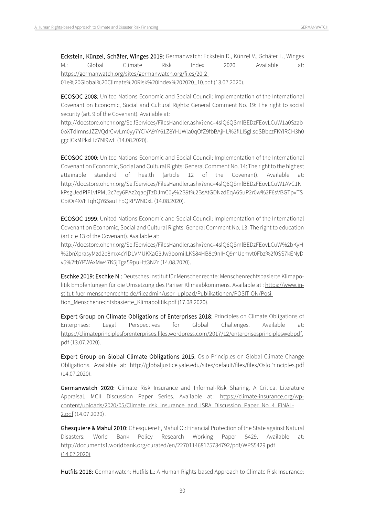Eckstein, Künzel, Schäfer, Winges 2019: Germanwatch: Eckstein D., Künzel V., Schäfer L., Winges M.: Global Climate Risk Index 2020. Available at: [https://germanwatch.org/sites/germanwatch.org/files/20-2-](https://germanwatch.org/sites/germanwatch.org/files/20-2-01e%20Global%20Climate%20Risk%20Index%202020_10.pdf) [01e%20Global%20Climate%20Risk%20Index%202020\\_10.pdf](https://germanwatch.org/sites/germanwatch.org/files/20-2-01e%20Global%20Climate%20Risk%20Index%202020_10.pdf) (13.07.2020).

ECOSOC 2008: United Nations Economic and Social Council: Implementation of the International Covenant on Economic, Social and Cultural Rights: General Comment No. 19: The right to social security (art. 9 of the Covenant). Available at:

http://docstore.ohchr.org/SelfServices/FilesHandler.ashx?enc=4slQ6QSmlBEDzFEovLCuW1a0Szab 0oXTdImnsJZZVQdrCvvLm0yy7YCiVA9YY61Z8YHJWla0qOfZ9fbBAjHL%2flLI5gllsqSBbczFKYlRCH3h0 ggclCkMPkxlTz7NI9wE (14.08.2020).

ECOSOC 2000: United Nations Economic and Social Council: Implementation of the International Covenant on Economic, Social and Cultural Rights: General Comment No. 14: The right to the highest attainable standard of health (article 12 of the Covenant). Available at: http://docstore.ohchr.org/SelfServices/FilesHandler.ashx?enc=4slQ6QSmlBEDzFEovLCuW1AVC1N kPsgUedPlF1vfPMJ2c7ey6PAz2qaojTzDJmC0y%2B9t%2BsAtGDNzdEqA6SuP2r0w%2F6sVBGTpvTS CbiOr4XVFTqhQY65auTFbQRPWNDxL (14.08.2020).

ECOSOC 1999: United Nations Economic and Social Council: Implementation of the International Covenant on Economic, Social and Cultural Rights: General Comment No. 13: The right to education (article 13 of the Covenant). Available at:

http://docstore.ohchr.org/SelfServices/FilesHandler.ashx?enc=4slQ6QSmlBEDzFEovLCuW%2bKyH %2bnXprasyMzd2e8mx4cYlD1VMUKXaG3Jw9bomilLKS84HB8c9nIHQ9mUemvt0Fbz%2f0SS7kENyD v5%2fbYPWAxMw47K5jTga59puHtt3NZr (14.08.2020).

Eschke 2019: Eschke N.: Deutsches Institut für Menschenrechte: Menschenrechtsbasierte Klimapo-litik Empfehlungen für die Umsetzung des Pariser Klimaabkommens. Available at[: https://www.in](https://www.institut-fuer-menschenrechte.de/fileadmin/user_upload/Publikationen/POSITION/Position_Menschenrechtsbasierte_Klimapolitik.pdf)[stitut-fuer-menschenrechte.de/fileadmin/user\\_upload/Publikationen/POSITION/Posi](https://www.institut-fuer-menschenrechte.de/fileadmin/user_upload/Publikationen/POSITION/Position_Menschenrechtsbasierte_Klimapolitik.pdf)[tion\\_Menschenrechtsbasierte\\_Klimapolitik.pdf](https://www.institut-fuer-menschenrechte.de/fileadmin/user_upload/Publikationen/POSITION/Position_Menschenrechtsbasierte_Klimapolitik.pdf) (17.08.2020).

Expert Group on Climate Obligations of Enterprises 2018: Principles on Climate Obligations of Enterprises: Legal Perspectives for Global Challenges. Available at: [https://climateprinciplesforenterprises.files.wordpress.com/2017/12/enterprisesprincipleswebpdf.](https://climateprinciplesforenterprises.files.wordpress.com/2017/12/enterprisesprincipleswebpdf.pdf) [pdf](https://climateprinciplesforenterprises.files.wordpress.com/2017/12/enterprisesprincipleswebpdf.pdf) (13.07.2020).

Expert Group on Global Climate Obligations 2015: Oslo Principles on Global Climate Change Obligations. Available at: <http://globaljustice.yale.edu/sites/default/files/files/OsloPrinciples.pdf>  $(14.07.2020)$ .

Germanwatch 2020: Climate Risk Insurance and Informal-Risk Sharing. A Critical Literature Appraisal. MCII Discussion Paper Series. Available at: [https://climate-insurance.org/wp](https://climate-insurance.org/wp-content/uploads/2020/05/Climate_risk_insurance_and_ISRA_Discussion_Paper_No_4_FINAL-2.pdf)[content/uploads/2020/05/Climate\\_risk\\_insurance\\_and\\_ISRA\\_Discussion\\_Paper\\_No\\_4\\_FINAL-](https://climate-insurance.org/wp-content/uploads/2020/05/Climate_risk_insurance_and_ISRA_Discussion_Paper_No_4_FINAL-2.pdf)[2.pdf](https://climate-insurance.org/wp-content/uploads/2020/05/Climate_risk_insurance_and_ISRA_Discussion_Paper_No_4_FINAL-2.pdf) (14.07.2020) .

Ghesquiere & Mahul 2010: Ghesquiere F, Mahul O.: Financial Protection of the State against Natural Disasters: World Bank Policy Research Working Paper 5429. Available at: <http://documents1.worldbank.org/curated/en/227011468175734792/pdf/WPS5429.pdf>  $(14.07.2020)$ .

Hutfils 2018: Germanwatch: Hutfils L.: A Human Rights-based Approach to Climate Risk Insurance: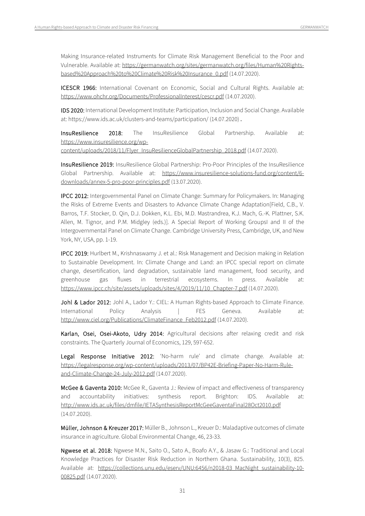Making Insurance-related Instruments for Climate Risk Management Beneficial to the Poor and Vulnerable. Available at: [https://germanwatch.org/sites/germanwatch.org/files/Human%20Rights](https://germanwatch.org/sites/germanwatch.org/files/Human%20Rights-based%20Approach%20to%20Climate%20Risk%20Insurance_0.pdf)[based%20Approach%20to%20Climate%20Risk%20Insurance\\_0.pdf](https://germanwatch.org/sites/germanwatch.org/files/Human%20Rights-based%20Approach%20to%20Climate%20Risk%20Insurance_0.pdf) (14.07.2020).

ICESCR 1966: International Covenant on Economic, Social and Cultural Rights. Available at: <https://www.ohchr.org/Documents/ProfessionalInterest/cescr.pdf> (14.07.2020).

IDS 2020: International Development Institute: Participation, Inclusion and Social Change. Available at[: https://www.ids.ac.uk/clusters-and-teams/participation/](https://www.ids.ac.uk/clusters-and-teams/participation/) (14.07.2020) .

InsuResilience 2018: The InsuResilience Global Partnership. Available at: [https://www.insuresilience.org/wp-](https://www.insuresilience.org/wp-content/uploads/2018/11/Flyer_InsuResilienceGlobalPartnership_2018.pdf)

[content/uploads/2018/11/Flyer\\_InsuResilienceGlobalPartnership\\_2018.pdf](https://www.insuresilience.org/wp-content/uploads/2018/11/Flyer_InsuResilienceGlobalPartnership_2018.pdf) (14.07.2020).

InsuResilience 2019: InsuResilience Global Partnership: Pro-Poor Principles of the InsuResilience Global Partnership. Available at: [https://www.insuresilience-solutions-fund.org/content/6](https://www.insuresilience-solutions-fund.org/content/6-downloads/annex-5-pro-poor-principles.pdf) [downloads/annex-5-pro-poor-principles.pdf](https://www.insuresilience-solutions-fund.org/content/6-downloads/annex-5-pro-poor-principles.pdf) (13.07.2020).

IPCC 2012: Intergovernmental Panel on Climate Change: Summary for Policymakers. In: Managing the Risks of Extreme Events and Disasters to Advance Climate Change Adaptation[Field, C.B., V. Barros, T.F. Stocker, D. Qin, D.J. Dokken, K.L. Ebi, M.D. Mastrandrea, K.J. Mach, G.-K. Plattner, S.K. Allen, M. Tignor, and P.M. Midgley (eds.)]. A Special Report of Working GroupsI and II of the Intergovernmental Panel on Climate Change. Cambridge University Press, Cambridge, UK, and New York, NY, USA, pp. 1-19.

IPCC 2019: Hurlbert M., Krishnaswamy J. et al.: Risk Management and Decision making in Relation to Sustainable Development. In: Climate Change and Land: an IPCC special report on climate change, desertification, land degradation, sustainable land management, food security, and greenhouse gas fluxes in terrestrial ecosystems. In press. Available at: [https://www.ipcc.ch/site/assets/uploads/sites/4/2019/11/10\\_Chapter-7.pdf](https://www.ipcc.ch/site/assets/uploads/sites/4/2019/11/10_Chapter-7.pdf) (14.07.2020).

Johl & Lador 2012: Johl A., Lador Y.: CIEL: A Human Rights-based Approach to Climate Finance. International Policy Analysis | FES Geneva. Available at: [http://www.ciel.org/Publications/ClimateFinance\\_Feb2012.pdf](http://www.ciel.org/Publications/ClimateFinance_Feb2012.pdf) (14.07.2020).

Karlan, Osei, Osei-Akoto, Udry 2014: Agricultural decisions after relaxing credit and risk constraints. The Quarterly Journal of Economics, 129, 597-652.

Legal Response Initiative 2012: 'No-harm rule' and climate change. Available at: [https://legalresponse.org/wp-content/uploads/2013/07/BP42E-Briefing-Paper-No-Harm-Rule](https://legalresponse.org/wp-content/uploads/2013/07/BP42E-Briefing-Paper-No-Harm-Rule-and-Climate-Change-24-July-2012.pdf)[and-Climate-Change-24-July-2012.pdf](https://legalresponse.org/wp-content/uploads/2013/07/BP42E-Briefing-Paper-No-Harm-Rule-and-Climate-Change-24-July-2012.pdf) (14.07.2020).

McGee & Gaventa 2010: McGee R., Gaventa J.: Review of impact and effectiveness of transparency and accountability initiatives: synthesis report. Brighton: IDS. Available at: <http://www.ids.ac.uk/files/dmfile/IETASynthesisReportMcGeeGaventaFinal28Oct2010.pdf> (14.07.2020).

Müller, Johnson & Kreuzer 2017: Müller B., Johnson L., Kreuer D.: Maladaptive outcomes of climate insurance in agriculture. Global Environmental Change, 46, 23-33.

Ngwese et al. 2018: Ngwese M.N., Saito O., Sato A., Boafo A.Y., & Jasaw G.: Traditional and Local Knowledge Practices for Disaster Risk Reduction in Northern Ghana. Sustainability, 10(3), 825. Available at: [https://collections.unu.edu/eserv/UNU:6456/n2018-03\\_MacNight\\_sustainability-10-](https://collections.unu.edu/eserv/UNU:6456/n2018-03_MacNight_sustainability-10-00825.pdf) [00825.pdf](https://collections.unu.edu/eserv/UNU:6456/n2018-03_MacNight_sustainability-10-00825.pdf) (14.07.2020).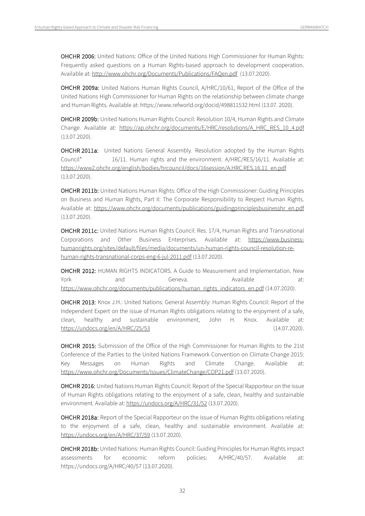OHCHR 2006: United Nations: Office of the United Nations High Commissioner for Human Rights: Frequently asked questions on a Human Rights-based approach to development cooperation. Available at[: http://www.ohchr.org/Documents/Publications/FAQen.pdf](http://www.ohchr.org/Documents/Publications/FAQen.pdf) (13.07.2020).

OHCHR 2009a: United Nations Human Rights Council, A/HRC/10/61, Report of the Office of the United Nations High Commissioner for Human Rights on the relationship between climate change and Human Rights. Available at[: https://www.refworld.org/docid/498811532.html](https://www.refworld.org/docid/498811532.html) (13.07. 2020).

OHCHR 2009b: United Nations Human Rights Council: Resolution 10/4, Human Rights and Climate Change. Available at: [https://ap.ohchr.org/documents/E/HRC/resolutions/A\\_HRC\\_RES\\_10\\_4.pdf](https://ap.ohchr.org/documents/E/HRC/resolutions/A_HRC_RES_10_4.pdf) (13.07.2020).

OHCHR 2011a: United Nations General Assembly. Resolution adopted by the Human Rights Council\* 16/11. Human rights and the environment. A/HRC/RES/16/11. Available at: [https://www2.ohchr.org/english/bodies/hrcouncil/docs/16session/A.HRC.RES.16.11\\_en.pdf](https://www2.ohchr.org/english/bodies/hrcouncil/docs/16session/A.HRC.RES.16.11_en.pdf) (13.07.2020).

OHCHR 2011b: United Nations Human Rights: Office of the High Commissioner: Guiding Principles on Business and Human Rights, Part II: The Corporate Responsibility to Respect Human Rights. Available at: [https://www.ohchr.org/documents/publications/guidingprinciplesbusinesshr\\_en.pdf](https://www.ohchr.org/documents/publications/guidingprinciplesbusinesshr_en.pdf) (13.07.2020).

OHCHR 2011c: United Nations Human Rights Council: Res. 17/4, Human Rights and Transnational Corporations and Other Business Enterprises. Available at: [https://www.business](https://www.business-humanrights.org/sites/default/files/media/documents/un-human-rights-council-resolution-re-human-rights-transnational-corps-eng-6-jul-2011.pdf)[humanrights.org/sites/default/files/media/documents/un-human-rights-council-resolution-re](https://www.business-humanrights.org/sites/default/files/media/documents/un-human-rights-council-resolution-re-human-rights-transnational-corps-eng-6-jul-2011.pdf)[human-rights-transnational-corps-eng-6-jul-2011.pdf](https://www.business-humanrights.org/sites/default/files/media/documents/un-human-rights-council-resolution-re-human-rights-transnational-corps-eng-6-jul-2011.pdf) (13.07.2020).

OHCHR 2012: HUMAN RIGHTS INDICATORS. A Guide to Measurement and Implementation. New York and Geneva. Available at: [https://www.ohchr.org/documents/publications/human\\_rights\\_indicators\\_en.pdf](https://www.ohchr.org/documents/publications/human_rights_indicators_en.pdf) (14.07.2020).

OHCHR 2013: Knox J.H.: United Nations: General Assembly: Human Rights Council: Report of the Independent Expert on the issue of Human Rights obligations relating to the enjoyment of a safe, clean, healthy and sustainable environment, John H. Knox. Available at: <https://undocs.org/en/A/HRC/25/53> (14.07.2020).

OHCHR 2015: Submission of the Office of the High Commissioner for Human Rights to the 21st Conference of the Parties to the United Nations Framework Convention on Climate Change 2015: Key Messages on Human Rights and Climate Change. Available at: <https://www.ohchr.org/Documents/Issues/ClimateChange/COP21.pdf> (13.07.2020).

OHCHR 2016: United Nations Human Rights Council: Report of the Special Rapporteur on the issue of Human Rights obligations relating to the enjoyment of a safe, clean, healthy and sustainable environment. Available at[: https://undocs.org/A/HRC/31/52](https://undocs.org/A/HRC/31/52) (13.07.2020).

OHCHR 2018a: Report of the Special Rapporteur on the issue of Human Rights obligations relating to the enjoyment of a safe, clean, healthy and sustainable environment. Available at: <https://undocs.org/en/A/HRC/37/59> (13.07.2020).

OHCHR 2018b: United Nations: Human Rights Council: Guiding Principles for Human Rights impact assessments for economic reform policies: A/HRC/40/57. Available at: <https://undocs.org/A/HRC/40/57> (13.07.2020).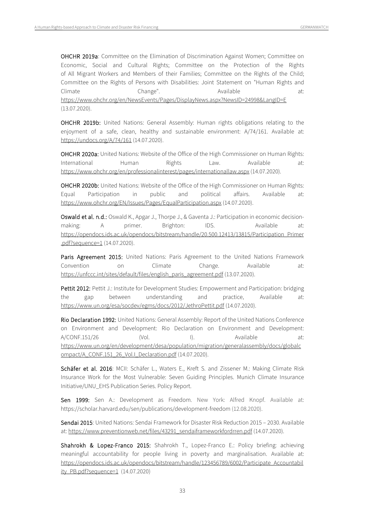OHCHR 2019a: Committee on the Elimination of Discrimination Against Women; Committee on Economic, Social and Cultural Rights; Committee on the Protection of the Rights of All Migrant Workers and Members of their Families; Committee on the Rights of the Child; Committee on the Rights of Persons with Disabilities: Joint Statement on "Human Rights and Climate Change". Available at: <https://www.ohchr.org/en/NewsEvents/Pages/DisplayNews.aspx?NewsID=24998&LangID=E> (13.07.2020).

OHCHR 2019b: United Nations: General Assembly: Human rights obligations relating to the enjoyment of a safe, clean, healthy and sustainable environment: A/74/161. Available at: <https://undocs.org/A/74/161> (14.07.2020).

OHCHR 2020a: United Nations: Website of the Office of the High Commissioner on Human Rights: International Human Rights Law. Available at: <https://www.ohchr.org/en/professionalinterest/pages/internationallaw.aspx> (14.07.2020).

OHCHR 2020b: United Nations: Website of the Office of the High Commissioner on Human Rights: Equal Participation in public and political affairs. Available at: <https://www.ohchr.org/EN/Issues/Pages/EqualParticipation.aspx> (14.07.2020).

Oswald et al. n.d.: Oswald K., Apgar J., Thorpe J., & Gaventa J.: Participation in economic decisionmaking: A primer. Brighton: IDS. Available at: [https://opendocs.ids.ac.uk/opendocs/bitstream/handle/20.500.12413/13815/Participation\\_Primer](https://opendocs.ids.ac.uk/opendocs/bitstream/handle/20.500.12413/13815/Participation_Primer.pdf?sequence=1) [.pdf?sequence=1](https://opendocs.ids.ac.uk/opendocs/bitstream/handle/20.500.12413/13815/Participation_Primer.pdf?sequence=1) (14.07.2020).

Paris Agreement 2015: United Nations: Paris Agreement to the United Nations Framework Convention on Climate Change. Available at: [https://unfccc.int/sites/default/files/english\\_paris\\_agreement.pdf](https://unfccc.int/sites/default/files/english_paris_agreement.pdf) (13.07.2020).

Pettit 2012: Pettit J.: Institute for Development Studies: Empowerment and Participation: bridging the gap between understanding and practice. Available at: <https://www.un.org/esa/socdev/egms/docs/2012/JethroPettit.pdf> (14.07.2020).

Rio Declaration 1992: United Nations: General Assembly: Report of the United Nations Conference on Environment and Development: Rio Declaration on Environment and Development: A/CONF.151/26 (Vol. I). Available at: [https://www.un.org/en/development/desa/population/migration/generalassembly/docs/globalc](https://www.un.org/en/development/desa/population/migration/generalassembly/docs/globalcompact/A_CONF.151_26_Vol.I_Declaration.pdf) [ompact/A\\_CONF.151\\_26\\_Vol.I\\_Declaration.pdf](https://www.un.org/en/development/desa/population/migration/generalassembly/docs/globalcompact/A_CONF.151_26_Vol.I_Declaration.pdf) (14.07.2020).

Schäfer et al. 2016: MCII: Schäfer L., Waters E., Kreft S. and Zissener M.: Making Climate Risk Insurance Work for the Most Vulnerable: Seven Guiding Principles. Munich Climate Insurance Initiative/UNU\_EHS Publication Series. Policy Report.

Sen 1999: Sen A.: Development as Freedom. New York: Alfred Knopf. Available at: https://scholar.harvard.edu/sen/publications/development-freedom (12.08.2020).

Sendai 2015: United Nations: Sendai Framework for Disaster Risk Reduction 2015 – 2030. Available at[: https://www.preventionweb.net/files/43291\\_sendaiframeworkfordrren.pdf](https://www.preventionweb.net/files/43291_sendaiframeworkfordrren.pdf) (14.07.2020).

Shahrokh & Lopez-Franco 2015: Shahrokh T., Lopez-Franco E.: Policy briefing: achieving meaningful accountability for people living in poverty and marginalisation. Available at: [https://opendocs.ids.ac.uk/opendocs/bitstream/handle/123456789/6002/Participate\\_Accountabil](https://opendocs.ids.ac.uk/opendocs/bitstream/handle/123456789/6002/Participate_Accountability_PB.pdf?sequence=1) [ity\\_PB.pdf?sequence=1](https://opendocs.ids.ac.uk/opendocs/bitstream/handle/123456789/6002/Participate_Accountability_PB.pdf?sequence=1) (14.07.2020)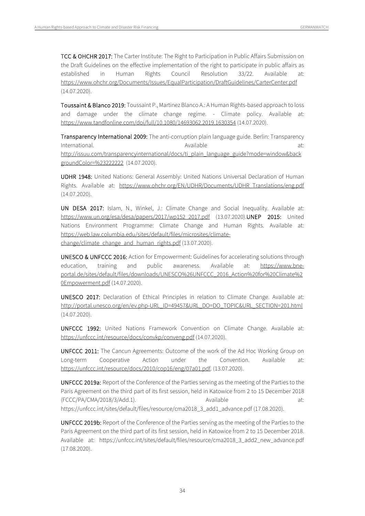TCC & OHCHR 2017: The Carter Institute: The Right to Participation in Public Affairs Submission on the Draft Guidelines on the effective implementation of the right to participate in public affairs as established in Human Rights Council Resolution 33/22. Available at: <https://www.ohchr.org/Documents/Issues/EqualParticipation/DraftGuidelines/CarterCenter.pdf> (14.07.2020).

Toussaint & Blanco 2019: Toussaint P., Martinez Blanco A.: A Human Rights-based approach to loss and damage under the climate change regime. - Climate policy. Available at: <https://www.tandfonline.com/doi/full/10.1080/14693062.2019.1630354> (14.07.2020).

Transparency International 2009: The anti-corruption plain language guide. Berlin: Transparency International. Available at: Available at: Available at: Available at: Available at: [http://issuu.com/transparencyinternational/docs/ti\\_plain\\_language\\_guide?mode=window&back](http://issuu.com/transparencyinternational/docs/ti_plain_language_guide?mode=window&backgroundColor=%23222222) [groundColor=%23222222](http://issuu.com/transparencyinternational/docs/ti_plain_language_guide?mode=window&backgroundColor=%23222222)2 (14.07.2020).

UDHR 1948: United Nations: General Assembly: United Nations Universal Declaration of Human Rights. Available at: [https://www.ohchr.org/EN/UDHR/Documents/UDHR\\_Translations/eng.pdf](https://www.ohchr.org/EN/UDHR/Documents/UDHR_Translations/eng.pdf) (14.07.2020).

UN DESA 2017: Islam, N., Winkel, J.: Climate Change and Social Inequality. Available at: [https://www.un.org/esa/desa/papers/2017/wp152\\_2017.pdf](https://www.un.org/esa/desa/papers/2017/wp152_2017.pdf) (13.07.2020).UNEP 2015: United Nations Environment Programme: Climate Change and Human Rights. Available at: [https://web.law.columbia.edu/sites/default/files/microsites/climate](https://web.law.columbia.edu/sites/default/files/microsites/climate-change/climate_change_and_human_rights.pdf)[change/climate\\_change\\_and\\_human\\_rights.pdf](https://web.law.columbia.edu/sites/default/files/microsites/climate-change/climate_change_and_human_rights.pdf) (13.07.2020).

UNESCO & UNFCCC 2016: Action for Empowerment: Guidelines for accelerating solutions through education, training and public awareness. Available at: [https://www.bne](https://www.bne-portal.de/sites/default/files/downloads/UNESCO%26UNFCCC_2016_Action%20for%20Climate%20Empowerment.pdf)[portal.de/sites/default/files/downloads/UNESCO%26UNFCCC\\_2016\\_Action%20for%20Climate%2](https://www.bne-portal.de/sites/default/files/downloads/UNESCO%26UNFCCC_2016_Action%20for%20Climate%20Empowerment.pdf) [0Empowerment.pdf](https://www.bne-portal.de/sites/default/files/downloads/UNESCO%26UNFCCC_2016_Action%20for%20Climate%20Empowerment.pdf) (14.07.2020).

UNESCO 2017: Declaration of Ethical Principles in relation to Climate Change. Available at: [http://portal.unesco.org/en/ev.php-URL\\_ID=49457&URL\\_DO=DO\\_TOPIC&URL\\_SECTION=201.html](http://portal.unesco.org/en/ev.php-URL_ID=49457&URL_DO=DO_TOPIC&URL_SECTION=201.html) (14.07.2020).

UNFCCC 1992: United Nations Framework Convention on Climate Change. Available at: <https://unfccc.int/resource/docs/convkp/conveng.pdf> (14.07.2020).

UNFCCC 2011: The Cancun Agreements: Outcome of the work of the Ad Hoc Working Group on Long-term Cooperative Action under the Convention. Available at: [https://unfccc.int/resource/docs/2010/cop16/eng/07a01.pdf.](https://unfccc.int/resource/docs/2010/cop16/eng/07a01.pdf) (13.07.2020).

UNFCCC 2019a: Report of the Conference of the Parties serving as the meeting of the Parties to the Paris Agreement on the third part of its first session, held in Katowice from 2 to 15 December 2018 (FCCC/PA/CMA/2018/3/Add.1). Available and at: https://unfccc.int/sites/default/files/resource/cma2018\_3\_add1\_advance.pdf (17.08.2020).

UNFCCC 2019b: Report of the Conference of the Parties serving as the meeting of the Parties to the Paris Agreement on the third part of its first session, held in Katowice from 2 to 15 December 2018. Available at: https://unfccc.int/sites/default/files/resource/cma2018\_3\_add2\_new\_advance.pdf (17.08.2020).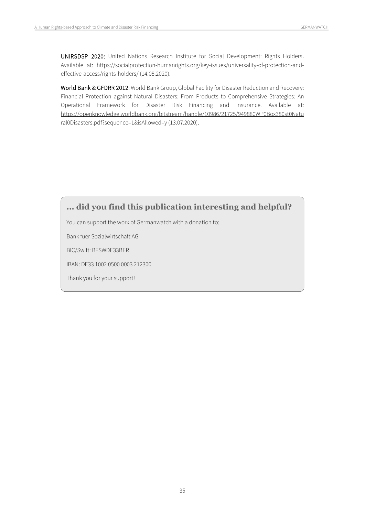UNIRSDSP 2020: United Nations Research Institute for Social Development: Rights Holders. Available at: https://socialprotection-humanrights.org/key-issues/universality-of-protection-andeffective-access/rights-holders/ (14.08.2020).

World Bank & GFDRR 2012: World Bank Group, Global Facility for Disaster Reduction and Recovery: Financial Protection against Natural Disasters: From Products to Comprehensive Strategies: An Operational Framework for Disaster Risk Financing and Insurance. Available at: [https://openknowledge.worldbank.org/bitstream/handle/10986/21725/949880WP0Box380st0Natu](https://openknowledge.worldbank.org/bitstream/handle/10986/21725/949880WP0Box380st0Natural0Disasters.pdf?sequence=1&isAllowed=y) [ral0Disasters.pdf?sequence=1&isAllowed=y](https://openknowledge.worldbank.org/bitstream/handle/10986/21725/949880WP0Box380st0Natural0Disasters.pdf?sequence=1&isAllowed=y) (13.07.2020).

## **... did you find this publication interesting and helpful?**

You can support the work of Germanwatch with a donation to:

Bank fuer Sozialwirtschaft AG

BIC/Swift: BFSWDE33BER

IBAN: DE33 1002 0500 0003 212300

Thank you for your support!